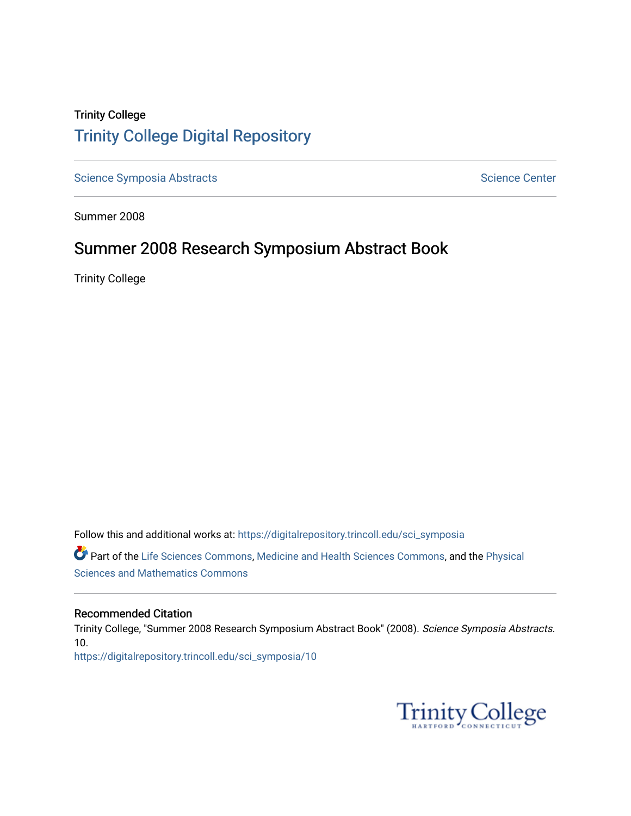# Trinity College [Trinity College Digital Repository](https://digitalrepository.trincoll.edu/)

[Science Symposia Abstracts](https://digitalrepository.trincoll.edu/sci_symposia) **Science Center** Science Center

Summer 2008

# Summer 2008 Research Symposium Abstract Book

Trinity College

Follow this and additional works at: [https://digitalrepository.trincoll.edu/sci\\_symposia](https://digitalrepository.trincoll.edu/sci_symposia?utm_source=digitalrepository.trincoll.edu%2Fsci_symposia%2F10&utm_medium=PDF&utm_campaign=PDFCoverPages)  Part of the [Life Sciences Commons,](http://network.bepress.com/hgg/discipline/1016?utm_source=digitalrepository.trincoll.edu%2Fsci_symposia%2F10&utm_medium=PDF&utm_campaign=PDFCoverPages) [Medicine and Health Sciences Commons,](http://network.bepress.com/hgg/discipline/648?utm_source=digitalrepository.trincoll.edu%2Fsci_symposia%2F10&utm_medium=PDF&utm_campaign=PDFCoverPages) and the [Physical](http://network.bepress.com/hgg/discipline/114?utm_source=digitalrepository.trincoll.edu%2Fsci_symposia%2F10&utm_medium=PDF&utm_campaign=PDFCoverPages)  [Sciences and Mathematics Commons](http://network.bepress.com/hgg/discipline/114?utm_source=digitalrepository.trincoll.edu%2Fsci_symposia%2F10&utm_medium=PDF&utm_campaign=PDFCoverPages) 

#### Recommended Citation

Trinity College, "Summer 2008 Research Symposium Abstract Book" (2008). Science Symposia Abstracts. 10. [https://digitalrepository.trincoll.edu/sci\\_symposia/10](https://digitalrepository.trincoll.edu/sci_symposia/10?utm_source=digitalrepository.trincoll.edu%2Fsci_symposia%2F10&utm_medium=PDF&utm_campaign=PDFCoverPages) 

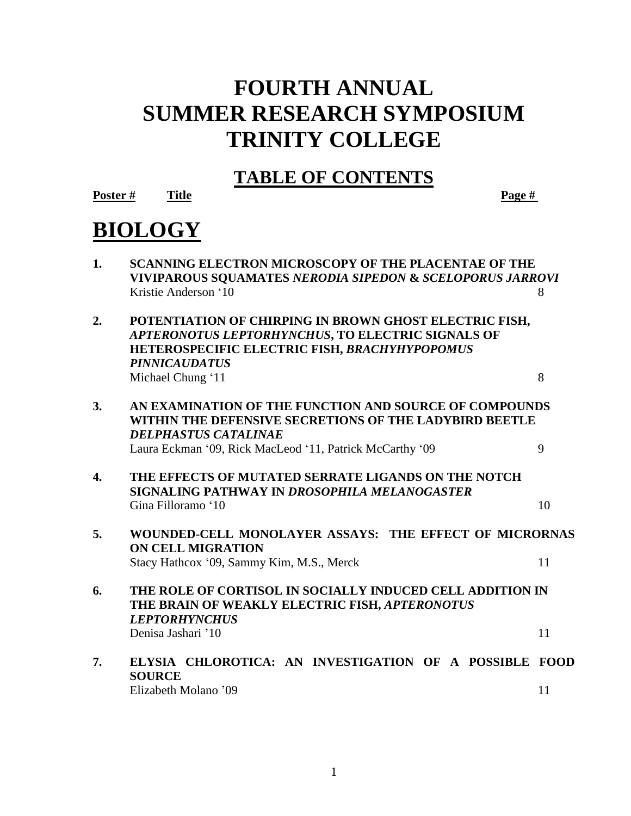# **FOURTH ANNUAL SUMMER RESEARCH SYMPOSIUM TRINITY COLLEGE**

# **TABLE OF CONTENTS**

**Poster # Title Page #**

# **BIOLOGY**

| <b>SCANNING ELECTRON MICROSCOPY OF THE PLACENTAE OF THE</b>          |  |
|----------------------------------------------------------------------|--|
| <b>VIVIPAROUS SOUAMATES NERODIA SIPEDON &amp; SCELOPORUS JARROVI</b> |  |
| Kristie Anderson '10                                                 |  |

- **2. POTENTIATION OF CHIRPING IN BROWN GHOST ELECTRIC FISH,**  *APTERONOTUS LEPTORHYNCHUS***, TO ELECTRIC SIGNALS OF HETEROSPECIFIC ELECTRIC FISH,** *BRACHYHYPOPOMUS PINNICAUDATUS* Michael Chung '11 8
- **3. AN EXAMINATION OF THE FUNCTION AND SOURCE OF COMPOUNDS WITHIN THE DEFENSIVE SECRETIONS OF THE LADYBIRD BEETLE**  *DELPHASTUS CATALINAE* Laura Eckman '09, Rick MacLeod '11, Patrick McCarthy '09 9
- **4. THE EFFECTS OF MUTATED SERRATE LIGANDS ON THE NOTCH SIGNALING PATHWAY IN** *DROSOPHILA MELANOGASTER* Gina Filloramo '10 10
- **5. WOUNDED-CELL MONOLAYER ASSAYS: THE EFFECT OF MICRORNAS ON CELL MIGRATION** Stacy Hathcox '09, Sammy Kim, M.S., Merck 11
- **6. THE ROLE OF CORTISOL IN SOCIALLY INDUCED CELL ADDITION IN THE BRAIN OF WEAKLY ELECTRIC FISH,** *APTERONOTUS LEPTORHYNCHUS* Denisa Jashari '10 11
- **7. ELYSIA CHLOROTICA: AN INVESTIGATION OF A POSSIBLE FOOD SOURCE** Elizabeth Molano '09 11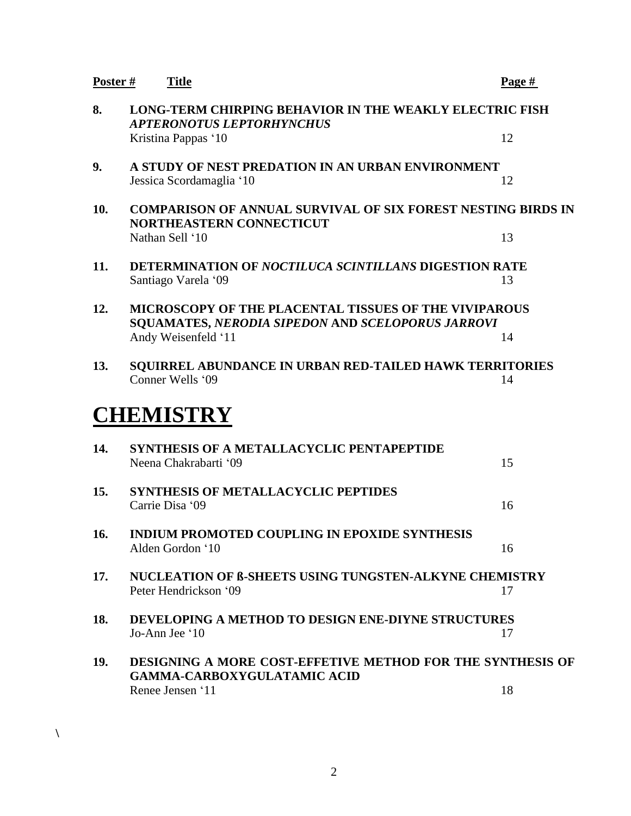|     | Poster #<br><b>Title</b>                                                                                | Page # |
|-----|---------------------------------------------------------------------------------------------------------|--------|
| 8.  | <b>LONG-TERM CHIRPING BEHAVIOR IN THE WEAKLY ELECTRIC FISH</b><br><b>APTERONOTUS LEPTORHYNCHUS</b>      |        |
|     | Kristina Pappas '10                                                                                     | 12     |
| 9.  | A STUDY OF NEST PREDATION IN AN URBAN ENVIRONMENT                                                       |        |
|     | Jessica Scordamaglia '10                                                                                | 12     |
| 10. | <b>COMPARISON OF ANNUAL SURVIVAL OF SIX FOREST NESTING BIRDS IN</b><br><b>NORTHEASTERN CONNECTICUT</b>  |        |
|     | Nathan Sell '10                                                                                         | 13     |
| 11. | DETERMINATION OF NOCTILUCA SCINTILLANS DIGESTION RATE<br>Santiago Varela '09                            | 13     |
| 12. | <b>MICROSCOPY OF THE PLACENTAL TISSUES OF THE VIVIPAROUS</b>                                            |        |
|     | SQUAMATES, NERODIA SIPEDON AND SCELOPORUS JARROVI                                                       |        |
|     | Andy Weisenfeld '11                                                                                     | 14     |
| 13. | <b>SQUIRREL ABUNDANCE IN URBAN RED-TAILED HAWK TERRITORIES</b><br>Conner Wells '09                      | 14     |
|     | <b>CHEMISTRY</b>                                                                                        |        |
|     |                                                                                                         |        |
| 14. | SYNTHESIS OF A METALLACYCLIC PENTAPEPTIDE                                                               |        |
|     | Neena Chakrabarti '09                                                                                   | 15     |
| 15. | <b>SYNTHESIS OF METALLACYCLIC PEPTIDES</b><br>Carrie Disa '09                                           | 16     |
|     |                                                                                                         |        |
| 16. | <b>INDIUM PROMOTED COUPLING IN EPOXIDE SYNTHESIS</b><br>Alden Gordon '10                                | 16     |
| 17. | NUCLEATION OF B-SHEETS USING TUNGSTEN-ALKYNE CHEMISTRY                                                  |        |
|     | Peter Hendrickson '09                                                                                   | 17     |
| 18. | <b>DEVELOPING A METHOD TO DESIGN ENE-DIYNE STRUCTURES</b>                                               |        |
|     | Jo-Ann Jee '10                                                                                          | 17     |
| 19. | <b>DESIGNING A MORE COST-EFFETIVE METHOD FOR THE SYNTHESIS OF</b><br><b>GAMMA-CARBOXYGULATAMIC ACID</b> |        |

2

**\**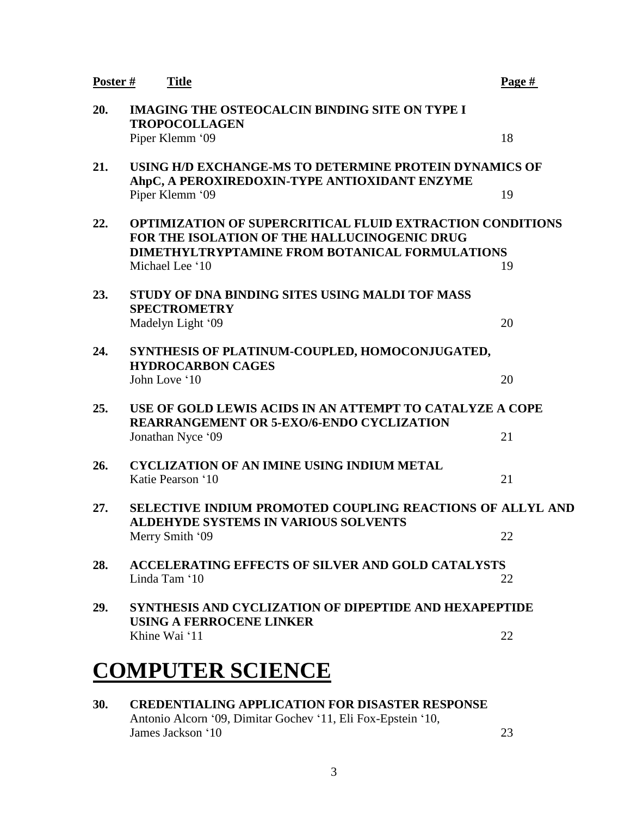| Poster # | <b>Title</b>                                                                                                     | Page # |
|----------|------------------------------------------------------------------------------------------------------------------|--------|
| 20.      | <b>IMAGING THE OSTEOCALCIN BINDING SITE ON TYPE I</b><br><b>TROPOCOLLAGEN</b>                                    |        |
|          | Piper Klemm '09                                                                                                  | 18     |
| 21.      | USING H/D EXCHANGE-MS TO DETERMINE PROTEIN DYNAMICS OF<br>AhpC, A PEROXIREDOXIN-TYPE ANTIOXIDANT ENZYME          |        |
|          | Piper Klemm '09                                                                                                  | 19     |
| 22.      | <b>OPTIMIZATION OF SUPERCRITICAL FLUID EXTRACTION CONDITIONS</b><br>FOR THE ISOLATION OF THE HALLUCINOGENIC DRUG |        |
|          | <b>DIMETHYLTRYPTAMINE FROM BOTANICAL FORMULATIONS</b><br>Michael Lee '10                                         | 19     |
|          |                                                                                                                  |        |
| 23.      | STUDY OF DNA BINDING SITES USING MALDI TOF MASS<br><b>SPECTROMETRY</b>                                           |        |
|          | Madelyn Light '09                                                                                                | 20     |
| 24.      | SYNTHESIS OF PLATINUM-COUPLED, HOMOCONJUGATED,<br><b>HYDROCARBON CAGES</b>                                       |        |
|          | John Love '10                                                                                                    | 20     |
| 25.      | USE OF GOLD LEWIS ACIDS IN AN ATTEMPT TO CATALYZE A COPE<br><b>REARRANGEMENT OR 5-EXO/6-ENDO CYCLIZATION</b>     |        |
|          | Jonathan Nyce '09                                                                                                | 21     |
| 26.      | <b>CYCLIZATION OF AN IMINE USING INDIUM METAL</b><br>Katie Pearson '10                                           | 21     |
| 27.      | SELECTIVE INDIUM PROMOTED COUPLING REACTIONS OF ALLYL AND<br><b>ALDEHYDE SYSTEMS IN VARIOUS SOLVENTS</b>         |        |
|          | Merry Smith '09                                                                                                  | 22     |
| 28.      | <b>ACCELERATING EFFECTS OF SILVER AND GOLD CATALYSTS</b>                                                         |        |
|          | Linda Tam '10                                                                                                    | 22     |
| 29.      | <b>SYNTHESIS AND CYCLIZATION OF DIPEPTIDE AND HEXAPEPTIDE</b><br><b>USING A FERROCENE LINKER</b>                 |        |
|          | Khine Wai '11                                                                                                    | 22     |
|          |                                                                                                                  |        |
|          | <b>COMPUTER SCIENCE</b>                                                                                          |        |

**30. CREDENTIALING APPLICATION FOR DISASTER RESPONSE** Antonio Alcorn '09, Dimitar Gochev '11, Eli Fox-Epstein '10, James Jackson '10 23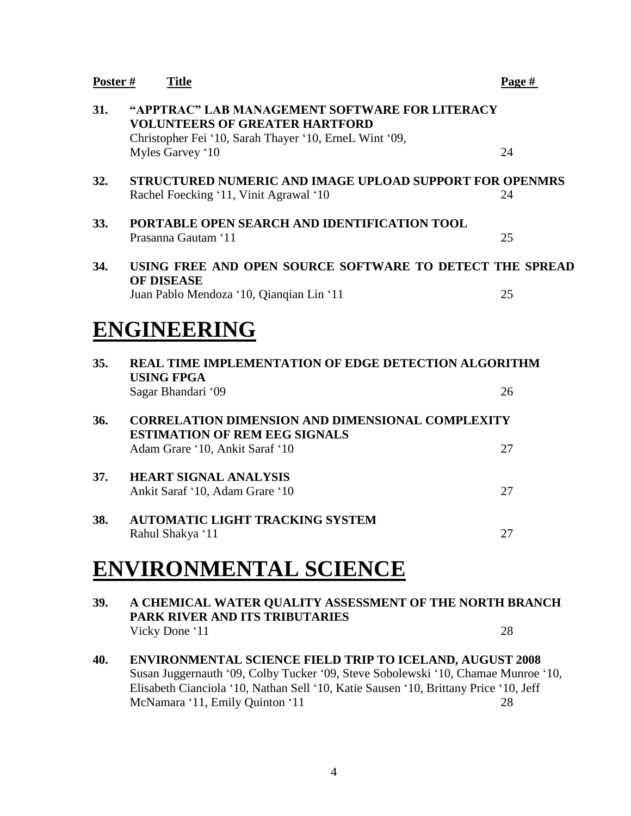| Poster # | <b>Title</b>                                                                                                                                                          | Page # |
|----------|-----------------------------------------------------------------------------------------------------------------------------------------------------------------------|--------|
| 31.      | "APPTRAC" LAB MANAGEMENT SOFTWARE FOR LITERACY<br><b>VOLUNTEERS OF GREATER HARTFORD</b><br>Christopher Fei '10, Sarah Thayer '10, ErneL Wint '09,<br>Myles Garvey '10 | 24     |
| 32.      | STRUCTURED NUMERIC AND IMAGE UPLOAD SUPPORT FOR OPENMRS<br>Rachel Foecking '11, Vinit Agrawal '10                                                                     | 24     |
| 33.      | PORTABLE OPEN SEARCH AND IDENTIFICATION TOOL<br>Prasanna Gautam '11                                                                                                   | 25     |
| 34.      | USING FREE AND OPEN SOURCE SOFTWARE TO DETECT THE SPREAD<br><b>OF DISEASE</b><br>Juan Pablo Mendoza '10, Qianqian Lin '11                                             | 25     |
|          | <b>ENGINEERING</b>                                                                                                                                                    |        |
| 35.      | <b>REAL TIME IMPLEMENTATION OF EDGE DETECTION ALGORITHM</b><br><b>USING FPGA</b>                                                                                      |        |
|          | Sagar Bhandari '09                                                                                                                                                    | 26     |
| 36.      | <b>CORRELATION DIMENSION AND DIMENSIONAL COMPLEXITY</b><br><b>ESTIMATION OF REM EEG SIGNALS</b>                                                                       |        |
|          | Adam Grare '10, Ankit Saraf '10                                                                                                                                       | 27     |
| 37.      | <b>HEART SIGNAL ANALYSIS</b><br>Ankit Saraf '10, Adam Grare '10                                                                                                       | 27     |
| 38.      | <b>AUTOMATIC LIGHT TRACKING SYSTEM</b><br>Rahul Shakya '11                                                                                                            | 27     |

# **ENVIRONMENTAL SCIENCE**

- **39. A CHEMICAL WATER QUALITY ASSESSMENT OF THE NORTH BRANCH PARK RIVER AND ITS TRIBUTARIES** Vicky Done '11 28
- **40. ENVIRONMENTAL SCIENCE FIELD TRIP TO ICELAND, AUGUST 2008** Susan Juggernauth '09, Colby Tucker '09, Steve Sobolewski '10, Chamae Munroe '10, Elisabeth Cianciola '10, Nathan Sell '10, Katie Sausen '10, Brittany Price '10, Jeff McNamara '11, Emily Quinton '11 28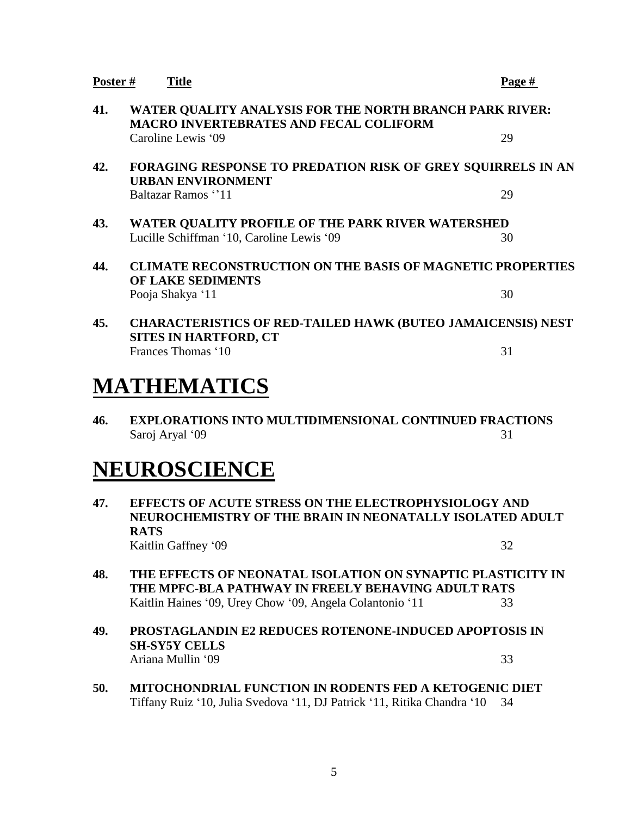| Poster # | <b>Title</b>                                                                                                                             | Page # |
|----------|------------------------------------------------------------------------------------------------------------------------------------------|--------|
| 41.      | WATER QUALITY ANALYSIS FOR THE NORTH BRANCH PARK RIVER:<br><b>MACRO INVERTEBRATES AND FECAL COLIFORM</b>                                 |        |
|          | Caroline Lewis '09                                                                                                                       | 29     |
| 42.      | FORAGING RESPONSE TO PREDATION RISK OF GREY SQUIRRELS IN AN<br><b>URBAN ENVIRONMENT</b>                                                  |        |
|          | Baltazar Ramos "11                                                                                                                       | 29     |
| 43.      | WATER QUALITY PROFILE OF THE PARK RIVER WATERSHED<br>Lucille Schiffman '10, Caroline Lewis '09                                           | 30     |
| 44.      | <b>CLIMATE RECONSTRUCTION ON THE BASIS OF MAGNETIC PROPERTIES</b><br><b>OF LAKE SEDIMENTS</b>                                            |        |
|          | Pooja Shakya '11                                                                                                                         | 30     |
| 45.      | <b>CHARACTERISTICS OF RED-TAILED HAWK (BUTEO JAMAICENSIS) NEST</b><br><b>SITES IN HARTFORD, CT</b>                                       |        |
|          | Frances Thomas '10                                                                                                                       | 31     |
|          | MATHEMATICS                                                                                                                              |        |
| 46.      | <b>EXPLORATIONS INTO MULTIDIMENSIONAL CONTINUED FRACTIONS</b><br>Saroj Aryal '09                                                         | 31     |
|          | NEUROSCIENCE                                                                                                                             |        |
| 47.      | <b>EFFECTS OF ACUTE STRESS ON THE ELECTROPHYSIOLOGY AND</b><br>NEUROCHEMISTRY OF THE BRAIN IN NEONATALLY ISOLATED ADULT<br><b>RATS</b>   |        |
|          | Kaitlin Gaffney '09                                                                                                                      | 32     |
| 48.      | THE EFFECTS OF NEONATAL ISOLATION ON SYNAPTIC PLASTICITY IN<br>THE MPFC-BLA PATHWAY IN FREELY BEHAVING ADULT RATS                        |        |
|          | Kaitlin Haines '09, Urey Chow '09, Angela Colantonio '11                                                                                 | 33     |
| 49.      | <b>PROSTAGLANDIN E2 REDUCES ROTENONE-INDUCED APOPTOSIS IN</b><br><b>SH-SY5Y CELLS</b>                                                    |        |
|          | Ariana Mullin '09                                                                                                                        | 33     |
| 50.      | <b>MITOCHONDRIAL FUNCTION IN RODENTS FED A KETOGENIC DIET</b><br>Tiffany Ruiz '10, Julia Svedova '11, DJ Patrick '11, Ritika Chandra '10 | 34     |
|          |                                                                                                                                          |        |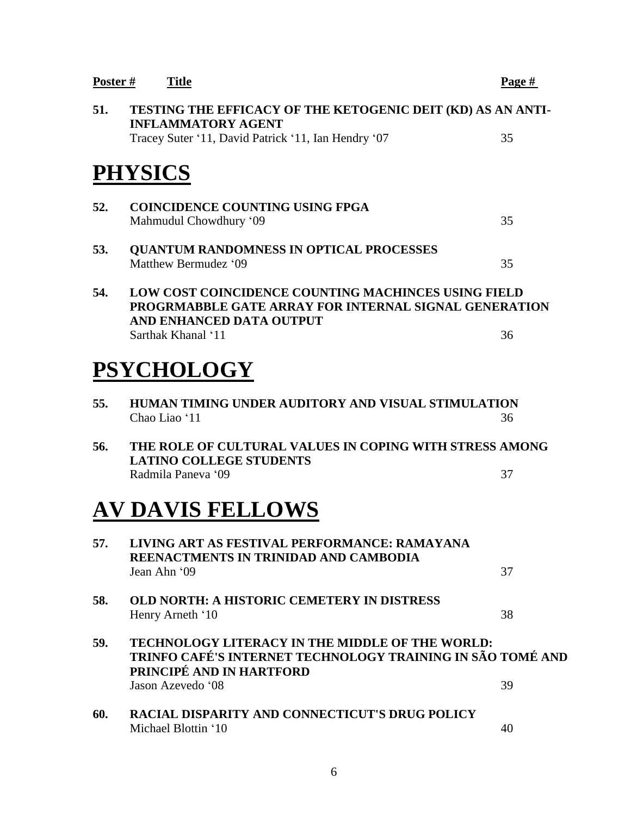| Poster# | <b>Title</b>                                                                                                                                     | Page # |
|---------|--------------------------------------------------------------------------------------------------------------------------------------------------|--------|
| 51.     | TESTING THE EFFICACY OF THE KETOGENIC DEIT (KD) AS AN ANTI-<br><b>INFLAMMATORY AGENT</b>                                                         |        |
|         | Tracey Suter '11, David Patrick '11, Ian Hendry '07                                                                                              | 35     |
|         | <b>PHYSICS</b>                                                                                                                                   |        |
| 52.     | <b>COINCIDENCE COUNTING USING FPGA</b><br>Mahmudul Chowdhury '09                                                                                 | 35     |
| 53.     | <b>QUANTUM RANDOMNESS IN OPTICAL PROCESSES</b><br>Matthew Bermudez '09                                                                           | 35     |
| 54.     | <b>LOW COST COINCIDENCE COUNTING MACHINCES USING FIELD</b><br>PROGRMABBLE GATE ARRAY FOR INTERNAL SIGNAL GENERATION<br>AND ENHANCED DATA OUTPUT  |        |
|         | Sarthak Khanal '11                                                                                                                               | 36     |
|         | <b>PSYCHOLOGY</b>                                                                                                                                |        |
| 55.     | HUMAN TIMING UNDER AUDITORY AND VISUAL STIMULATION<br>Chao Liao '11                                                                              | 36     |
| 56.     | THE ROLE OF CULTURAL VALUES IN COPING WITH STRESS AMONG<br><b>LATINO COLLEGE STUDENTS</b>                                                        |        |
|         | Radmila Paneva '09                                                                                                                               | 37     |
|         | <b>AV DAVIS FELLOWS</b>                                                                                                                          |        |
| 57.     | LIVING ART AS FESTIVAL PERFORMANCE: RAMAYANA<br>REENACTMENTS IN TRINIDAD AND CAMBODIA                                                            |        |
|         | Jean Ahn '09                                                                                                                                     | 37     |
| 58.     | <b>OLD NORTH: A HISTORIC CEMETERY IN DISTRESS</b><br>Henry Arneth '10                                                                            | 38     |
| 59.     | <b>TECHNOLOGY LITERACY IN THE MIDDLE OF THE WORLD:</b><br>TRINFO CAFÉ'S INTERNET TECHNOLOGY TRAINING IN SÃO TOMÉ AND<br>PRINCIPÉ AND IN HARTFORD |        |
|         | Jason Azevedo '08                                                                                                                                | 39     |
| 60.     | RACIAL DISPARITY AND CONNECTICUT'S DRUG POLICY<br>Michael Blottin '10                                                                            | 40     |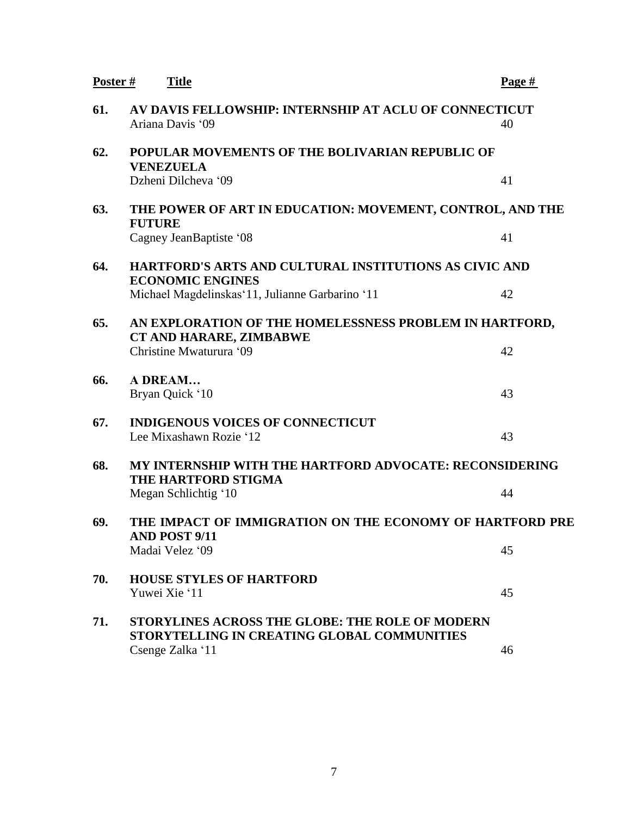| Poster # | <b>Title</b>                                                                                          | Page # |
|----------|-------------------------------------------------------------------------------------------------------|--------|
| 61.      | AV DAVIS FELLOWSHIP: INTERNSHIP AT ACLU OF CONNECTICUT<br>Ariana Davis '09                            | 40     |
| 62.      | POPULAR MOVEMENTS OF THE BOLIVARIAN REPUBLIC OF<br><b>VENEZUELA</b>                                   |        |
|          | Dzheni Dilcheva '09                                                                                   | 41     |
| 63.      | THE POWER OF ART IN EDUCATION: MOVEMENT, CONTROL, AND THE<br><b>FUTURE</b>                            |        |
|          | Cagney JeanBaptiste '08                                                                               | 41     |
| 64.      | HARTFORD'S ARTS AND CULTURAL INSTITUTIONS AS CIVIC AND<br><b>ECONOMIC ENGINES</b>                     |        |
|          | Michael Magdelinskas' 11, Julianne Garbarino '11                                                      | 42     |
| 65.      | AN EXPLORATION OF THE HOMELESSNESS PROBLEM IN HARTFORD,<br>CT AND HARARE, ZIMBABWE                    |        |
|          | Christine Mwaturura '09                                                                               | 42     |
| 66.      | A DREAM<br>Bryan Quick '10                                                                            | 43     |
| 67.      | <b>INDIGENOUS VOICES OF CONNECTICUT</b><br>Lee Mixashawn Rozie '12                                    | 43     |
| 68.      | MY INTERNSHIP WITH THE HARTFORD ADVOCATE: RECONSIDERING<br><b>THE HARTFORD STIGMA</b>                 |        |
|          | Megan Schlichtig '10                                                                                  | 44     |
| 69.      | THE IMPACT OF IMMIGRATION ON THE ECONOMY OF HARTFORD PRE<br><b>AND POST 9/11</b>                      |        |
|          | Madai Velez '09                                                                                       | 45     |
| 70.      | <b>HOUSE STYLES OF HARTFORD</b><br>Yuwei Xie '11                                                      | 45     |
| 71.      | <b>STORYLINES ACROSS THE GLOBE: THE ROLE OF MODERN</b><br>STORYTELLING IN CREATING GLOBAL COMMUNITIES |        |
|          | Csenge Zalka '11                                                                                      | 46     |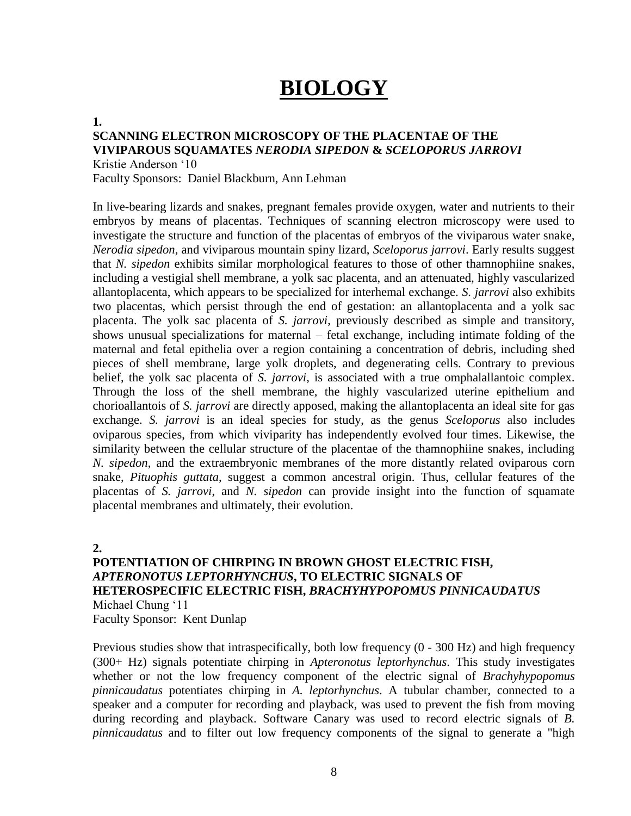# **BIOLOGY**

#### **1.**

### **SCANNING ELECTRON MICROSCOPY OF THE PLACENTAE OF THE VIVIPAROUS SQUAMATES** *NERODIA SIPEDON* **&** *SCELOPORUS JARROVI*

Kristie Anderson '10

Faculty Sponsors: Daniel Blackburn, Ann Lehman

In live-bearing lizards and snakes, pregnant females provide oxygen, water and nutrients to their embryos by means of placentas. Techniques of scanning electron microscopy were used to investigate the structure and function of the placentas of embryos of the viviparous water snake, *Nerodia sipedon*, and viviparous mountain spiny lizard, *Sceloporus jarrovi*. Early results suggest that *N. sipedon* exhibits similar morphological features to those of other thamnophiine snakes, including a vestigial shell membrane, a yolk sac placenta, and an attenuated, highly vascularized allantoplacenta, which appears to be specialized for interhemal exchange. *S. jarrovi* also exhibits two placentas, which persist through the end of gestation: an allantoplacenta and a yolk sac placenta. The yolk sac placenta of *S. jarrovi*, previously described as simple and transitory, shows unusual specializations for maternal – fetal exchange, including intimate folding of the maternal and fetal epithelia over a region containing a concentration of debris, including shed pieces of shell membrane, large yolk droplets, and degenerating cells. Contrary to previous belief, the yolk sac placenta of *S. jarrovi*, is associated with a true omphalallantoic complex. Through the loss of the shell membrane, the highly vascularized uterine epithelium and chorioallantois of *S. jarrovi* are directly apposed, making the allantoplacenta an ideal site for gas exchange. *S. jarrovi* is an ideal species for study, as the genus *Sceloporus* also includes oviparous species, from which viviparity has independently evolved four times. Likewise, the similarity between the cellular structure of the placentae of the thamnophiine snakes, including *N. sipedon*, and the extraembryonic membranes of the more distantly related oviparous corn snake, *Pituophis guttata*, suggest a common ancestral origin. Thus, cellular features of the placentas of *S. jarrovi*, and *N. sipedon* can provide insight into the function of squamate placental membranes and ultimately, their evolution.

**2.**

## **POTENTIATION OF CHIRPING IN BROWN GHOST ELECTRIC FISH,**  *APTERONOTUS LEPTORHYNCHUS***, TO ELECTRIC SIGNALS OF HETEROSPECIFIC ELECTRIC FISH,** *BRACHYHYPOPOMUS PINNICAUDATUS* Michael Chung '11 Faculty Sponsor: Kent Dunlap

Previous studies show that intraspecifically, both low frequency (0 - 300 Hz) and high frequency (300+ Hz) signals potentiate chirping in *Apteronotus leptorhynchus*. This study investigates whether or not the low frequency component of the electric signal of *Brachyhypopomus pinnicaudatus* potentiates chirping in *A. leptorhynchus*. A tubular chamber, connected to a speaker and a computer for recording and playback, was used to prevent the fish from moving during recording and playback. Software Canary was used to record electric signals of *B. pinnicaudatus* and to filter out low frequency components of the signal to generate a "high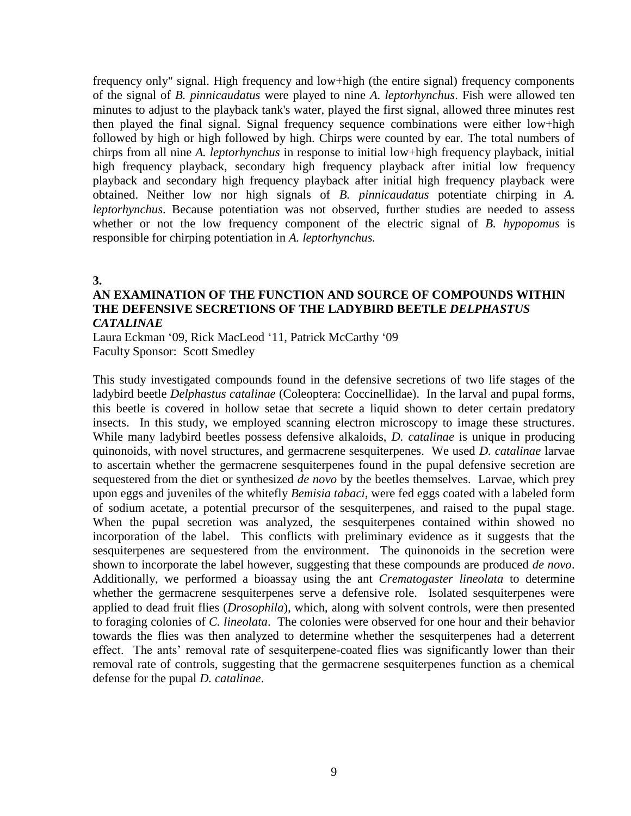frequency only" signal. High frequency and low+high (the entire signal) frequency components of the signal of *B. pinnicaudatus* were played to nine *A. leptorhynchus*. Fish were allowed ten minutes to adjust to the playback tank's water, played the first signal, allowed three minutes rest then played the final signal. Signal frequency sequence combinations were either low+high followed by high or high followed by high. Chirps were counted by ear. The total numbers of chirps from all nine *A. leptorhynchus* in response to initial low+high frequency playback, initial high frequency playback, secondary high frequency playback after initial low frequency playback and secondary high frequency playback after initial high frequency playback were obtained. Neither low nor high signals of *B. pinnicaudatus* potentiate chirping in *A. leptorhynchus*. Because potentiation was not observed, further studies are needed to assess whether or not the low frequency component of the electric signal of *B. hypopomus* is responsible for chirping potentiation in *A. leptorhynchus.*

#### **3.**

### **AN EXAMINATION OF THE FUNCTION AND SOURCE OF COMPOUNDS WITHIN THE DEFENSIVE SECRETIONS OF THE LADYBIRD BEETLE** *DELPHASTUS CATALINAE*

Laura Eckman '09, Rick MacLeod '11, Patrick McCarthy '09 Faculty Sponsor: Scott Smedley

This study investigated compounds found in the defensive secretions of two life stages of the ladybird beetle *Delphastus catalinae* (Coleoptera: Coccinellidae). In the larval and pupal forms, this beetle is covered in hollow setae that secrete a liquid shown to deter certain predatory insects. In this study, we employed scanning electron microscopy to image these structures. While many ladybird beetles possess defensive alkaloids, *D. catalinae* is unique in producing quinonoids, with novel structures, and germacrene sesquiterpenes. We used *D. catalinae* larvae to ascertain whether the germacrene sesquiterpenes found in the pupal defensive secretion are sequestered from the diet or synthesized *de novo* by the beetles themselves. Larvae, which prey upon eggs and juveniles of the whitefly *Bemisia tabaci*, were fed eggs coated with a labeled form of sodium acetate, a potential precursor of the sesquiterpenes, and raised to the pupal stage. When the pupal secretion was analyzed, the sesquiterpenes contained within showed no incorporation of the label. This conflicts with preliminary evidence as it suggests that the sesquiterpenes are sequestered from the environment. The quinonoids in the secretion were shown to incorporate the label however, suggesting that these compounds are produced *de novo*. Additionally, we performed a bioassay using the ant *Crematogaster lineolata* to determine whether the germacrene sesquiterpenes serve a defensive role. Isolated sesquiterpenes were applied to dead fruit flies (*Drosophila*), which, along with solvent controls, were then presented to foraging colonies of *C. lineolata*. The colonies were observed for one hour and their behavior towards the flies was then analyzed to determine whether the sesquiterpenes had a deterrent effect. The ants' removal rate of sesquiterpene-coated flies was significantly lower than their removal rate of controls, suggesting that the germacrene sesquiterpenes function as a chemical defense for the pupal *D. catalinae*.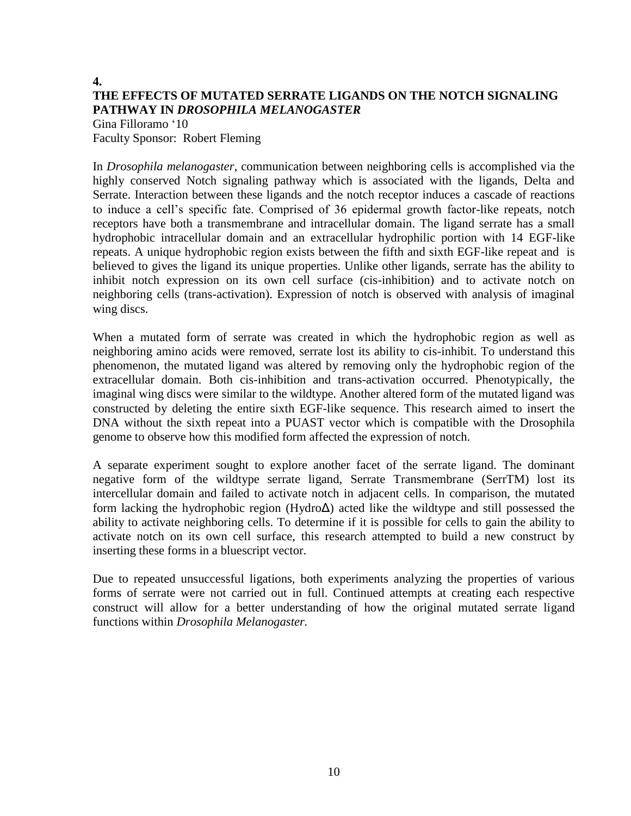# **4. THE EFFECTS OF MUTATED SERRATE LIGANDS ON THE NOTCH SIGNALING PATHWAY IN** *DROSOPHILA MELANOGASTER*

Gina Filloramo '10 Faculty Sponsor: Robert Fleming

In *Drosophila melanogaster*, communication between neighboring cells is accomplished via the highly conserved Notch signaling pathway which is associated with the ligands, Delta and Serrate. Interaction between these ligands and the notch receptor induces a cascade of reactions to induce a cell's specific fate. Comprised of 36 epidermal growth factor-like repeats, notch receptors have both a transmembrane and intracellular domain. The ligand serrate has a small hydrophobic intracellular domain and an extracellular hydrophilic portion with 14 EGF-like repeats. A unique hydrophobic region exists between the fifth and sixth EGF-like repeat and is believed to gives the ligand its unique properties. Unlike other ligands, serrate has the ability to inhibit notch expression on its own cell surface (cis-inhibition) and to activate notch on neighboring cells (trans-activation). Expression of notch is observed with analysis of imaginal wing discs.

When a mutated form of serrate was created in which the hydrophobic region as well as neighboring amino acids were removed, serrate lost its ability to cis-inhibit. To understand this phenomenon, the mutated ligand was altered by removing only the hydrophobic region of the extracellular domain. Both cis-inhibition and trans-activation occurred. Phenotypically, the imaginal wing discs were similar to the wildtype. Another altered form of the mutated ligand was constructed by deleting the entire sixth EGF-like sequence. This research aimed to insert the DNA without the sixth repeat into a PUAST vector which is compatible with the Drosophila genome to observe how this modified form affected the expression of notch.

A separate experiment sought to explore another facet of the serrate ligand. The dominant negative form of the wildtype serrate ligand, Serrate Transmembrane (SerrTM) lost its intercellular domain and failed to activate notch in adjacent cells. In comparison, the mutated form lacking the hydrophobic region (HydroΔ) acted like the wildtype and still possessed the ability to activate neighboring cells. To determine if it is possible for cells to gain the ability to activate notch on its own cell surface, this research attempted to build a new construct by inserting these forms in a bluescript vector.

Due to repeated unsuccessful ligations, both experiments analyzing the properties of various forms of serrate were not carried out in full. Continued attempts at creating each respective construct will allow for a better understanding of how the original mutated serrate ligand functions within *Drosophila Melanogaster.*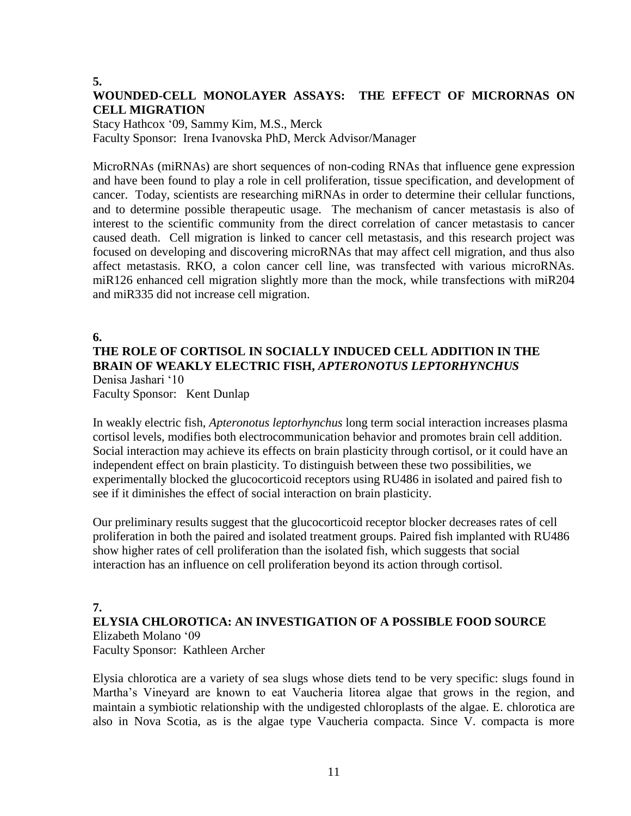## **5.**

# **WOUNDED-CELL MONOLAYER ASSAYS: THE EFFECT OF MICRORNAS ON CELL MIGRATION**

Stacy Hathcox '09, Sammy Kim, M.S., Merck Faculty Sponsor: Irena Ivanovska PhD, Merck Advisor/Manager

MicroRNAs (miRNAs) are short sequences of non-coding RNAs that influence gene expression and have been found to play a role in cell proliferation, tissue specification, and development of cancer. Today, scientists are researching miRNAs in order to determine their cellular functions, and to determine possible therapeutic usage. The mechanism of cancer metastasis is also of interest to the scientific community from the direct correlation of cancer metastasis to cancer caused death. Cell migration is linked to cancer cell metastasis, and this research project was focused on developing and discovering microRNAs that may affect cell migration, and thus also affect metastasis. RKO, a colon cancer cell line, was transfected with various microRNAs. miR126 enhanced cell migration slightly more than the mock, while transfections with miR204 and miR335 did not increase cell migration.

### **6.**

# **THE ROLE OF CORTISOL IN SOCIALLY INDUCED CELL ADDITION IN THE BRAIN OF WEAKLY ELECTRIC FISH,** *APTERONOTUS LEPTORHYNCHUS* Denisa Jashari '10

Faculty Sponsor: Kent Dunlap

In weakly electric fish, *Apteronotus leptorhynchus* long term social interaction increases plasma cortisol levels, modifies both electrocommunication behavior and promotes brain cell addition*.*  Social interaction may achieve its effects on brain plasticity through cortisol, or it could have an independent effect on brain plasticity. To distinguish between these two possibilities, we experimentally blocked the glucocorticoid receptors using RU486 in isolated and paired fish to see if it diminishes the effect of social interaction on brain plasticity.

Our preliminary results suggest that the glucocorticoid receptor blocker decreases rates of cell proliferation in both the paired and isolated treatment groups. Paired fish implanted with RU486 show higher rates of cell proliferation than the isolated fish, which suggests that social interaction has an influence on cell proliferation beyond its action through cortisol.

# **7.**

## **ELYSIA CHLOROTICA: AN INVESTIGATION OF A POSSIBLE FOOD SOURCE**

Elizabeth Molano '09 Faculty Sponsor: Kathleen Archer

Elysia chlorotica are a variety of sea slugs whose diets tend to be very specific: slugs found in Martha's Vineyard are known to eat Vaucheria litorea algae that grows in the region, and maintain a symbiotic relationship with the undigested chloroplasts of the algae. E. chlorotica are also in Nova Scotia, as is the algae type Vaucheria compacta. Since V. compacta is more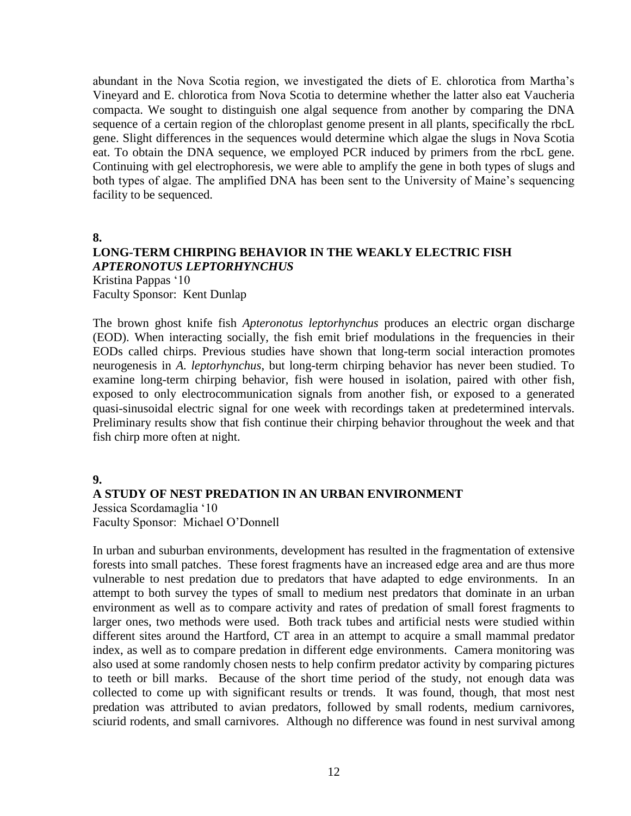abundant in the Nova Scotia region, we investigated the diets of E. chlorotica from Martha's Vineyard and E. chlorotica from Nova Scotia to determine whether the latter also eat Vaucheria compacta. We sought to distinguish one algal sequence from another by comparing the DNA sequence of a certain region of the chloroplast genome present in all plants, specifically the rbcL gene. Slight differences in the sequences would determine which algae the slugs in Nova Scotia eat. To obtain the DNA sequence, we employed PCR induced by primers from the rbcL gene. Continuing with gel electrophoresis, we were able to amplify the gene in both types of slugs and both types of algae. The amplified DNA has been sent to the University of Maine's sequencing facility to be sequenced.

**8.**

### **LONG-TERM CHIRPING BEHAVIOR IN THE WEAKLY ELECTRIC FISH**  *APTERONOTUS LEPTORHYNCHUS* Kristina Pappas '10

Faculty Sponsor: Kent Dunlap

The brown ghost knife fish *Apteronotus leptorhynchus* produces an electric organ discharge (EOD). When interacting socially, the fish emit brief modulations in the frequencies in their EODs called chirps. Previous studies have shown that long-term social interaction promotes neurogenesis in *A. leptorhynchus*, but long-term chirping behavior has never been studied. To examine long-term chirping behavior, fish were housed in isolation, paired with other fish, exposed to only electrocommunication signals from another fish, or exposed to a generated quasi-sinusoidal electric signal for one week with recordings taken at predetermined intervals. Preliminary results show that fish continue their chirping behavior throughout the week and that fish chirp more often at night.

### **9.**

## **A STUDY OF NEST PREDATION IN AN URBAN ENVIRONMENT**

Jessica Scordamaglia '10 Faculty Sponsor: Michael O'Donnell

In urban and suburban environments, development has resulted in the fragmentation of extensive forests into small patches. These forest fragments have an increased edge area and are thus more vulnerable to nest predation due to predators that have adapted to edge environments. In an attempt to both survey the types of small to medium nest predators that dominate in an urban environment as well as to compare activity and rates of predation of small forest fragments to larger ones, two methods were used. Both track tubes and artificial nests were studied within different sites around the Hartford, CT area in an attempt to acquire a small mammal predator index, as well as to compare predation in different edge environments. Camera monitoring was also used at some randomly chosen nests to help confirm predator activity by comparing pictures to teeth or bill marks. Because of the short time period of the study, not enough data was collected to come up with significant results or trends. It was found, though, that most nest predation was attributed to avian predators, followed by small rodents, medium carnivores, sciurid rodents, and small carnivores. Although no difference was found in nest survival among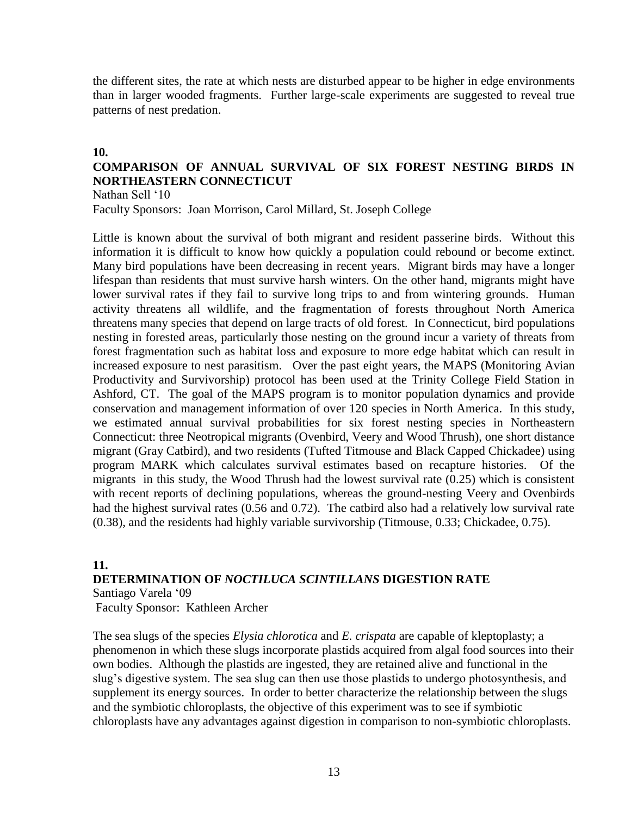the different sites, the rate at which nests are disturbed appear to be higher in edge environments than in larger wooded fragments. Further large-scale experiments are suggested to reveal true patterns of nest predation.

### **10.**

# **COMPARISON OF ANNUAL SURVIVAL OF SIX FOREST NESTING BIRDS IN NORTHEASTERN CONNECTICUT**

Nathan Sell '10 Faculty Sponsors: Joan Morrison, Carol Millard, St. Joseph College

Little is known about the survival of both migrant and resident passerine birds. Without this information it is difficult to know how quickly a population could rebound or become extinct. Many bird populations have been decreasing in recent years. Migrant birds may have a longer lifespan than residents that must survive harsh winters. On the other hand, migrants might have lower survival rates if they fail to survive long trips to and from wintering grounds. Human activity threatens all wildlife, and the fragmentation of forests throughout North America threatens many species that depend on large tracts of old forest. In Connecticut, bird populations nesting in forested areas, particularly those nesting on the ground incur a variety of threats from forest fragmentation such as habitat loss and exposure to more edge habitat which can result in increased exposure to nest parasitism. Over the past eight years, the MAPS (Monitoring Avian Productivity and Survivorship) protocol has been used at the Trinity College Field Station in Ashford, CT. The goal of the MAPS program is to monitor population dynamics and provide conservation and management information of over 120 species in North America. In this study, we estimated annual survival probabilities for six forest nesting species in Northeastern Connecticut: three Neotropical migrants (Ovenbird, Veery and Wood Thrush), one short distance migrant (Gray Catbird), and two residents (Tufted Titmouse and Black Capped Chickadee) using program MARK which calculates survival estimates based on recapture histories. Of the migrants in this study, the Wood Thrush had the lowest survival rate (0.25) which is consistent with recent reports of declining populations, whereas the ground-nesting Veery and Ovenbirds had the highest survival rates (0.56 and 0.72). The catbird also had a relatively low survival rate (0.38), and the residents had highly variable survivorship (Titmouse, 0.33; Chickadee, 0.75).

### **11. DETERMINATION OF** *NOCTILUCA SCINTILLANS* **DIGESTION RATE** Santiago Varela '09

Faculty Sponsor: Kathleen Archer

The sea slugs of the species *Elysia chlorotica* and *E. crispata* are capable of kleptoplasty; a phenomenon in which these slugs incorporate plastids acquired from algal food sources into their own bodies. Although the plastids are ingested, they are retained alive and functional in the slug's digestive system. The sea slug can then use those plastids to undergo photosynthesis, and supplement its energy sources. In order to better characterize the relationship between the slugs and the symbiotic chloroplasts, the objective of this experiment was to see if symbiotic chloroplasts have any advantages against digestion in comparison to non-symbiotic chloroplasts.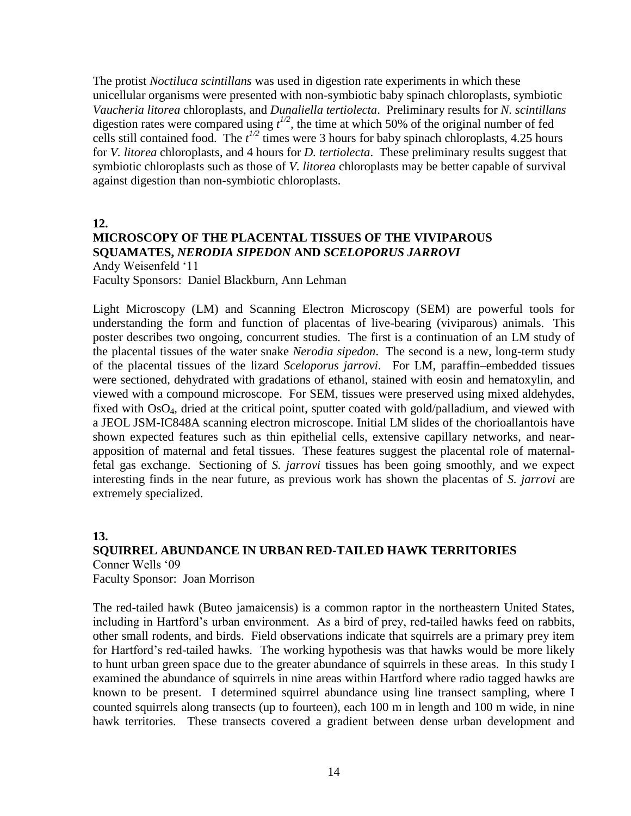The protist *Noctiluca scintillans* was used in digestion rate experiments in which these unicellular organisms were presented with non-symbiotic baby spinach chloroplasts, symbiotic *Vaucheria litorea* chloroplasts, and *Dunaliella tertiolecta*. Preliminary results for *N. scintillans* digestion rates were compared using  $t^{1/2}$ , the time at which 50% of the original number of fed cells still contained food. The  $t^{1/2}$  times were 3 hours for baby spinach chloroplasts, 4.25 hours for *V. litorea* chloroplasts, and 4 hours for *D. tertiolecta*. These preliminary results suggest that symbiotic chloroplasts such as those of *V. litorea* chloroplasts may be better capable of survival against digestion than non-symbiotic chloroplasts.

**12.**

# **MICROSCOPY OF THE PLACENTAL TISSUES OF THE VIVIPAROUS SQUAMATES,** *NERODIA SIPEDON* **AND** *SCELOPORUS JARROVI*

Andy Weisenfeld '11 Faculty Sponsors: Daniel Blackburn, Ann Lehman

Light Microscopy (LM) and Scanning Electron Microscopy (SEM) are powerful tools for understanding the form and function of placentas of live-bearing (viviparous) animals. This poster describes two ongoing, concurrent studies. The first is a continuation of an LM study of the placental tissues of the water snake *Nerodia sipedon*. The second is a new, long-term study of the placental tissues of the lizard *Sceloporus jarrovi*. For LM, paraffin–embedded tissues were sectioned, dehydrated with gradations of ethanol, stained with eosin and hematoxylin, and viewed with a compound microscope. For SEM, tissues were preserved using mixed aldehydes, fixed with OsO<sub>4</sub>, dried at the critical point, sputter coated with gold/palladium, and viewed with a JEOL JSM-IC848A scanning electron microscope. Initial LM slides of the chorioallantois have shown expected features such as thin epithelial cells, extensive capillary networks, and nearapposition of maternal and fetal tissues. These features suggest the placental role of maternalfetal gas exchange. Sectioning of *S. jarrovi* tissues has been going smoothly, and we expect interesting finds in the near future, as previous work has shown the placentas of *S. jarrovi* are extremely specialized.

# **13. SQUIRREL ABUNDANCE IN URBAN RED-TAILED HAWK TERRITORIES** Conner Wells '09

Faculty Sponsor: Joan Morrison

The red-tailed hawk (Buteo jamaicensis) is a common raptor in the northeastern United States, including in Hartford's urban environment. As a bird of prey, red-tailed hawks feed on rabbits, other small rodents, and birds. Field observations indicate that squirrels are a primary prey item for Hartford's red-tailed hawks. The working hypothesis was that hawks would be more likely to hunt urban green space due to the greater abundance of squirrels in these areas. In this study I examined the abundance of squirrels in nine areas within Hartford where radio tagged hawks are known to be present. I determined squirrel abundance using line transect sampling, where I counted squirrels along transects (up to fourteen), each 100 m in length and 100 m wide, in nine hawk territories. These transects covered a gradient between dense urban development and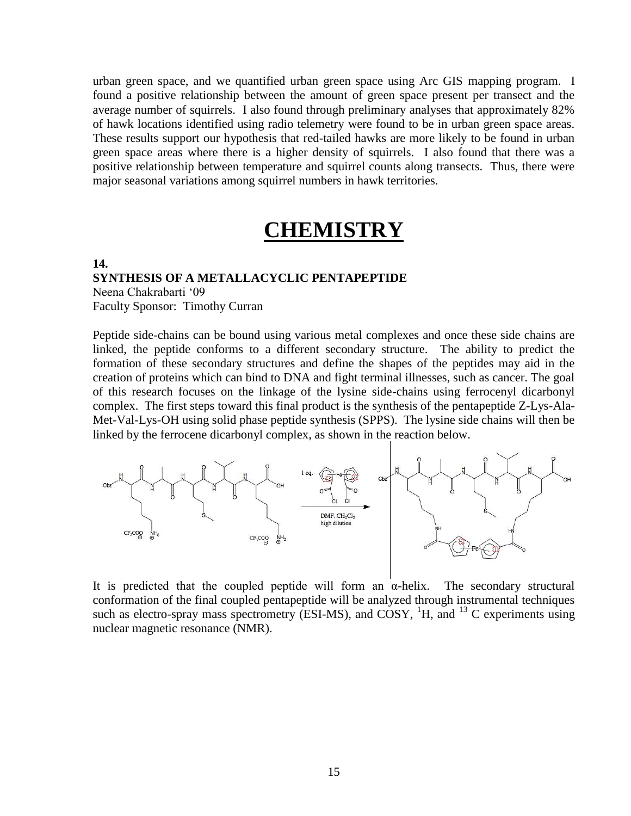urban green space, and we quantified urban green space using Arc GIS mapping program. I found a positive relationship between the amount of green space present per transect and the average number of squirrels. I also found through preliminary analyses that approximately 82% of hawk locations identified using radio telemetry were found to be in urban green space areas. These results support our hypothesis that red-tailed hawks are more likely to be found in urban green space areas where there is a higher density of squirrels. I also found that there was a positive relationship between temperature and squirrel counts along transects. Thus, there were major seasonal variations among squirrel numbers in hawk territories.

# **CHEMISTRY**

### **14. SYNTHESIS OF A METALLACYCLIC PENTAPEPTIDE** Neena Chakrabarti '09 Faculty Sponsor: Timothy Curran

Peptide side-chains can be bound using various metal complexes and once these side chains are linked, the peptide conforms to a different secondary structure. The ability to predict the formation of these secondary structures and define the shapes of the peptides may aid in the creation of proteins which can bind to DNA and fight terminal illnesses, such as cancer. The goal of this research focuses on the linkage of the lysine side-chains using ferrocenyl dicarbonyl complex. The first steps toward this final product is the synthesis of the pentapeptide Z-Lys-Ala-Met-Val-Lys-OH using solid phase peptide synthesis (SPPS). The lysine side chains will then be linked by the ferrocene dicarbonyl complex, as shown in the reaction below.



It is predicted that the coupled peptide will form an  $\alpha$ -helix. The secondary structural conformation of the final coupled pentapeptide will be analyzed through instrumental techniques such as electro-spray mass spectrometry (ESI-MS), and COSY,  ${}^{1}H$ , and  ${}^{13}C$  experiments using nuclear magnetic resonance (NMR).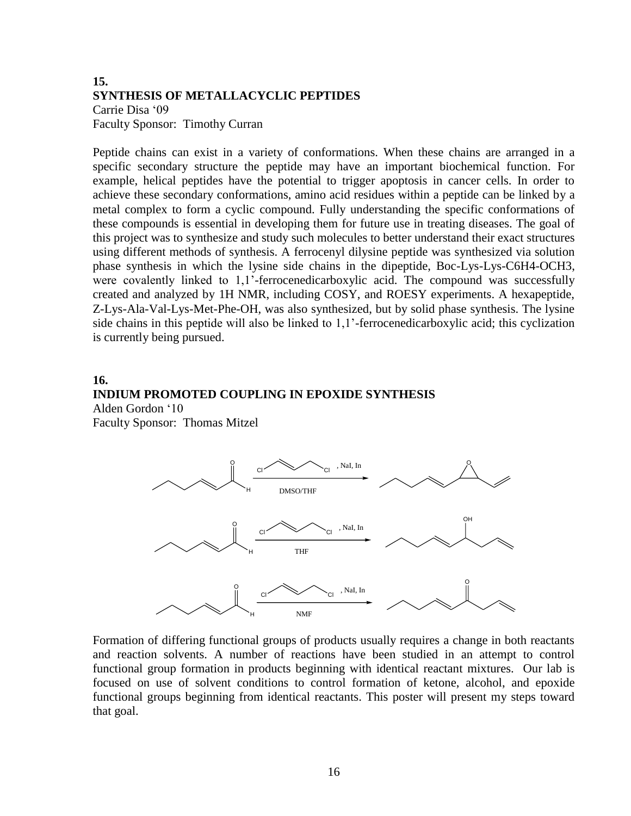### **15. SYNTHESIS OF METALLACYCLIC PEPTIDES** Carrie Disa '09 Faculty Sponsor: Timothy Curran

Peptide chains can exist in a variety of conformations. When these chains are arranged in a specific secondary structure the peptide may have an important biochemical function. For example, helical peptides have the potential to trigger apoptosis in cancer cells. In order to achieve these secondary conformations, amino acid residues within a peptide can be linked by a metal complex to form a cyclic compound. Fully understanding the specific conformations of these compounds is essential in developing them for future use in treating diseases. The goal of this project was to synthesize and study such molecules to better understand their exact structures using different methods of synthesis. A ferrocenyl dilysine peptide was synthesized via solution phase synthesis in which the lysine side chains in the dipeptide, Boc-Lys-Lys-C6H4-OCH3, were covalently linked to 1,1'-ferrocenedicarboxylic acid. The compound was successfully created and analyzed by 1H NMR, including COSY, and ROESY experiments. A hexapeptide, Z-Lys-Ala-Val-Lys-Met-Phe-OH, was also synthesized, but by solid phase synthesis. The lysine side chains in this peptide will also be linked to 1,1'-ferrocenedicarboxylic acid; this cyclization is currently being pursued.

### **16. INDIUM PROMOTED COUPLING IN EPOXIDE SYNTHESIS**  Alden Gordon '10

Faculty Sponsor: Thomas Mitzel



Formation of differing functional groups of products usually requires a change in both reactants and reaction solvents. A number of reactions have been studied in an attempt to control functional group formation in products beginning with identical reactant mixtures. Our lab is focused on use of solvent conditions to control formation of ketone, alcohol, and epoxide functional groups beginning from identical reactants. This poster will present my steps toward that goal.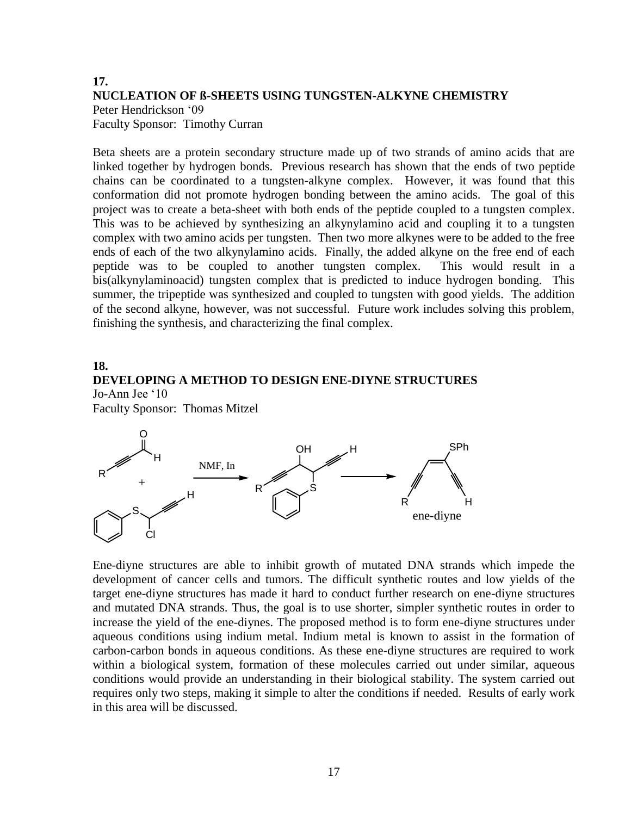# **17. NUCLEATION OF ß-SHEETS USING TUNGSTEN-ALKYNE CHEMISTRY** Peter Hendrickson '09 Faculty Sponsor: Timothy Curran

Beta sheets are a protein secondary structure made up of two strands of amino acids that are linked together by hydrogen bonds. Previous research has shown that the ends of two peptide chains can be coordinated to a tungsten-alkyne complex. However, it was found that this conformation did not promote hydrogen bonding between the amino acids. The goal of this project was to create a beta-sheet with both ends of the peptide coupled to a tungsten complex. This was to be achieved by synthesizing an alkynylamino acid and coupling it to a tungsten complex with two amino acids per tungsten. Then two more alkynes were to be added to the free ends of each of the two alkynylamino acids. Finally, the added alkyne on the free end of each peptide was to be coupled to another tungsten complex. This would result in a bis(alkynylaminoacid) tungsten complex that is predicted to induce hydrogen bonding. This summer, the tripeptide was synthesized and coupled to tungsten with good yields. The addition of the second alkyne, however, was not successful. Future work includes solving this problem, finishing the synthesis, and characterizing the final complex.

## **18. DEVELOPING A METHOD TO DESIGN ENE-DIYNE STRUCTURES** Jo-Ann Jee '10

Faculty Sponsor: Thomas Mitzel



Ene-diyne structures are able to inhibit growth of mutated DNA strands which impede the development of cancer cells and tumors. The difficult synthetic routes and low yields of the target ene-diyne structures has made it hard to conduct further research on ene-diyne structures and mutated DNA strands. Thus, the goal is to use shorter, simpler synthetic routes in order to increase the yield of the ene-diynes. The proposed method is to form ene-diyne structures under aqueous conditions using indium metal. Indium metal is known to assist in the formation of carbon-carbon bonds in aqueous conditions. As these ene-diyne structures are required to work within a biological system, formation of these molecules carried out under similar, aqueous conditions would provide an understanding in their biological stability. The system carried out requires only two steps, making it simple to alter the conditions if needed. Results of early work in this area will be discussed.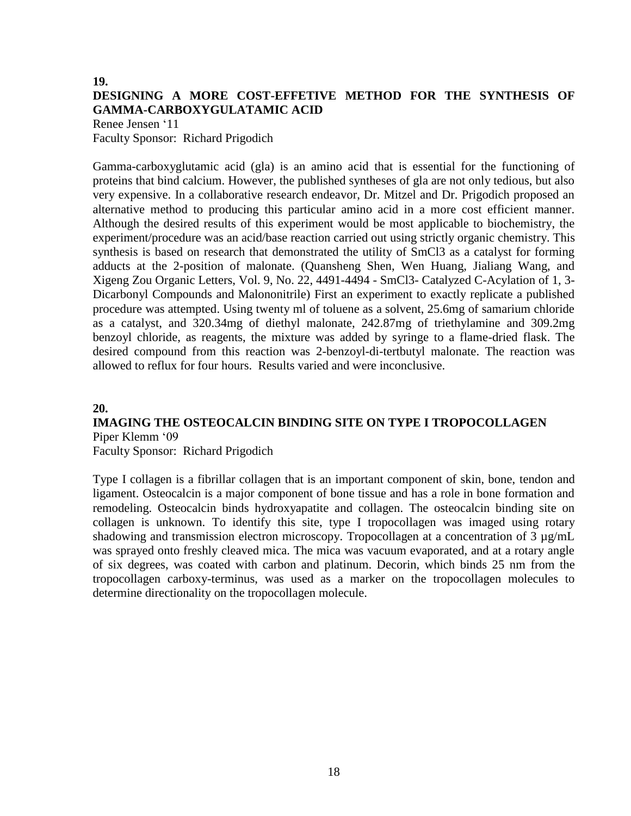# **19. DESIGNING A MORE COST-EFFETIVE METHOD FOR THE SYNTHESIS OF GAMMA-CARBOXYGULATAMIC ACID**

Renee Jensen '11 Faculty Sponsor: Richard Prigodich

Gamma-carboxyglutamic acid (gla) is an amino acid that is essential for the functioning of proteins that bind calcium. However, the published syntheses of gla are not only tedious, but also very expensive. In a collaborative research endeavor, Dr. Mitzel and Dr. Prigodich proposed an alternative method to producing this particular amino acid in a more cost efficient manner. Although the desired results of this experiment would be most applicable to biochemistry, the experiment/procedure was an acid/base reaction carried out using strictly organic chemistry. This synthesis is based on research that demonstrated the utility of SmCl3 as a catalyst for forming adducts at the 2-position of malonate. (Quansheng Shen, Wen Huang, Jialiang Wang, and Xigeng Zou Organic Letters, Vol. 9, No. 22, 4491-4494 - SmCl3- Catalyzed C-Acylation of 1, 3- Dicarbonyl Compounds and Malononitrile) First an experiment to exactly replicate a published procedure was attempted. Using twenty ml of toluene as a solvent, 25.6mg of samarium chloride as a catalyst, and 320.34mg of diethyl malonate, 242.87mg of triethylamine and 309.2mg benzoyl chloride, as reagents, the mixture was added by syringe to a flame-dried flask. The desired compound from this reaction was 2-benzoyl-di-tertbutyl malonate. The reaction was allowed to reflux for four hours. Results varied and were inconclusive.

### **20.**

# **IMAGING THE OSTEOCALCIN BINDING SITE ON TYPE I TROPOCOLLAGEN** Piper Klemm '09

Faculty Sponsor: Richard Prigodich

Type I collagen is a fibrillar collagen that is an important component of skin, bone, tendon and ligament. Osteocalcin is a major component of bone tissue and has a role in bone formation and remodeling. Osteocalcin binds hydroxyapatite and collagen. The osteocalcin binding site on collagen is unknown. To identify this site, type I tropocollagen was imaged using rotary shadowing and transmission electron microscopy. Tropocollagen at a concentration of 3  $\mu$ g/mL was sprayed onto freshly cleaved mica. The mica was vacuum evaporated, and at a rotary angle of six degrees, was coated with carbon and platinum. Decorin, which binds 25 nm from the tropocollagen carboxy-terminus, was used as a marker on the tropocollagen molecules to determine directionality on the tropocollagen molecule.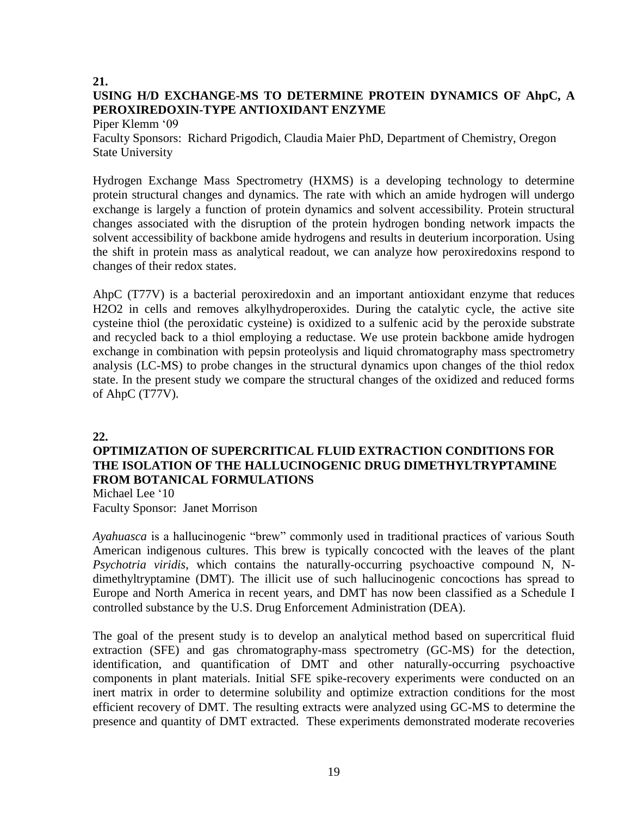## **21. USING H/D EXCHANGE-MS TO DETERMINE PROTEIN DYNAMICS OF AhpC, A PEROXIREDOXIN-TYPE ANTIOXIDANT ENZYME**

Piper Klemm '09

Faculty Sponsors: Richard Prigodich, Claudia Maier PhD, Department of Chemistry, Oregon State University

Hydrogen Exchange Mass Spectrometry (HXMS) is a developing technology to determine protein structural changes and dynamics. The rate with which an amide hydrogen will undergo exchange is largely a function of protein dynamics and solvent accessibility. Protein structural changes associated with the disruption of the protein hydrogen bonding network impacts the solvent accessibility of backbone amide hydrogens and results in deuterium incorporation. Using the shift in protein mass as analytical readout, we can analyze how peroxiredoxins respond to changes of their redox states.

AhpC (T77V) is a bacterial peroxiredoxin and an important antioxidant enzyme that reduces H2O2 in cells and removes alkylhydroperoxides. During the catalytic cycle, the active site cysteine thiol (the peroxidatic cysteine) is oxidized to a sulfenic acid by the peroxide substrate and recycled back to a thiol employing a reductase. We use protein backbone amide hydrogen exchange in combination with pepsin proteolysis and liquid chromatography mass spectrometry analysis (LC-MS) to probe changes in the structural dynamics upon changes of the thiol redox state. In the present study we compare the structural changes of the oxidized and reduced forms of AhpC (T77V).

### **22.**

## **OPTIMIZATION OF SUPERCRITICAL FLUID EXTRACTION CONDITIONS FOR THE ISOLATION OF THE HALLUCINOGENIC DRUG DIMETHYLTRYPTAMINE FROM BOTANICAL FORMULATIONS**

Michael Lee '10 Faculty Sponsor: Janet Morrison

*Ayahuasca* is a hallucinogenic "brew" commonly used in traditional practices of various South American indigenous cultures. This brew is typically concocted with the leaves of the plant *Psychotria viridis*, which contains the naturally-occurring psychoactive compound N, Ndimethyltryptamine (DMT). The illicit use of such hallucinogenic concoctions has spread to Europe and North America in recent years, and DMT has now been classified as a Schedule I controlled substance by the U.S. Drug Enforcement Administration (DEA).

The goal of the present study is to develop an analytical method based on supercritical fluid extraction (SFE) and gas chromatography-mass spectrometry (GC-MS) for the detection, identification, and quantification of DMT and other naturally-occurring psychoactive components in plant materials. Initial SFE spike-recovery experiments were conducted on an inert matrix in order to determine solubility and optimize extraction conditions for the most efficient recovery of DMT. The resulting extracts were analyzed using GC-MS to determine the presence and quantity of DMT extracted. These experiments demonstrated moderate recoveries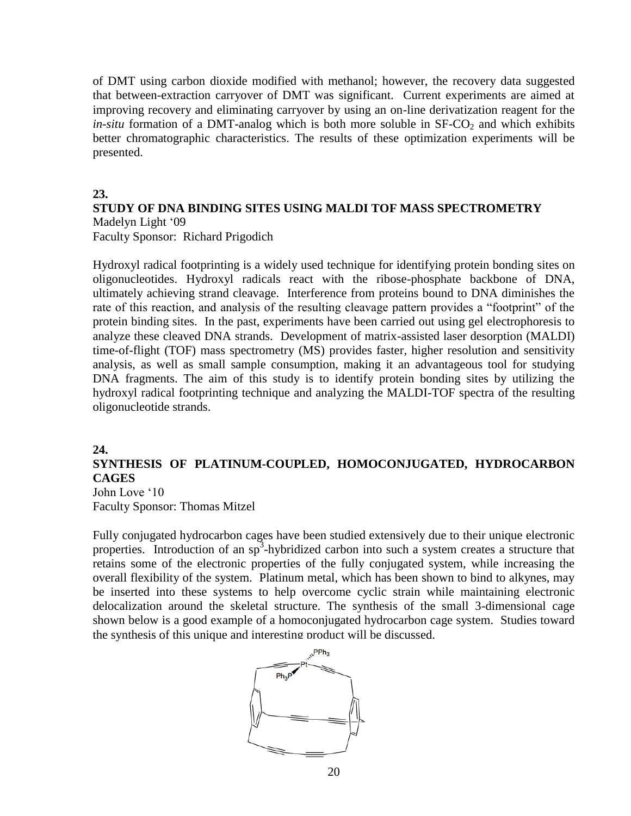of DMT using carbon dioxide modified with methanol; however, the recovery data suggested that between-extraction carryover of DMT was significant. Current experiments are aimed at improving recovery and eliminating carryover by using an on-line derivatization reagent for the  $in-situ$  formation of a DMT-analog which is both more soluble in  $SF-CO<sub>2</sub>$  and which exhibits better chromatographic characteristics. The results of these optimization experiments will be presented.

### **23.**

# **STUDY OF DNA BINDING SITES USING MALDI TOF MASS SPECTROMETRY** Madelyn Light '09

Faculty Sponsor: Richard Prigodich

Hydroxyl radical footprinting is a widely used technique for identifying protein bonding sites on oligonucleotides. Hydroxyl radicals react with the ribose-phosphate backbone of DNA, ultimately achieving strand cleavage. Interference from proteins bound to DNA diminishes the rate of this reaction, and analysis of the resulting cleavage pattern provides a "footprint" of the protein binding sites. In the past, experiments have been carried out using gel electrophoresis to analyze these cleaved DNA strands. Development of matrix-assisted laser desorption (MALDI) time-of-flight (TOF) mass spectrometry (MS) provides faster, higher resolution and sensitivity analysis, as well as small sample consumption, making it an advantageous tool for studying DNA fragments. The aim of this study is to identify protein bonding sites by utilizing the hydroxyl radical footprinting technique and analyzing the MALDI-TOF spectra of the resulting oligonucleotide strands.

### **24.**

# **SYNTHESIS OF PLATINUM-COUPLED, HOMOCONJUGATED, HYDROCARBON CAGES**

John Love '10 Faculty Sponsor: Thomas Mitzel

Fully conjugated hydrocarbon cages have been studied extensively due to their unique electronic properties. Introduction of an sp<sup>3</sup>-hybridized carbon into such a system creates a structure that retains some of the electronic properties of the fully conjugated system, while increasing the overall flexibility of the system. Platinum metal, which has been shown to bind to alkynes, may be inserted into these systems to help overcome cyclic strain while maintaining electronic delocalization around the skeletal structure. The synthesis of the small 3-dimensional cage shown below is a good example of a homoconjugated hydrocarbon cage system. Studies toward the synthesis of this unique and interesting product will be discussed.

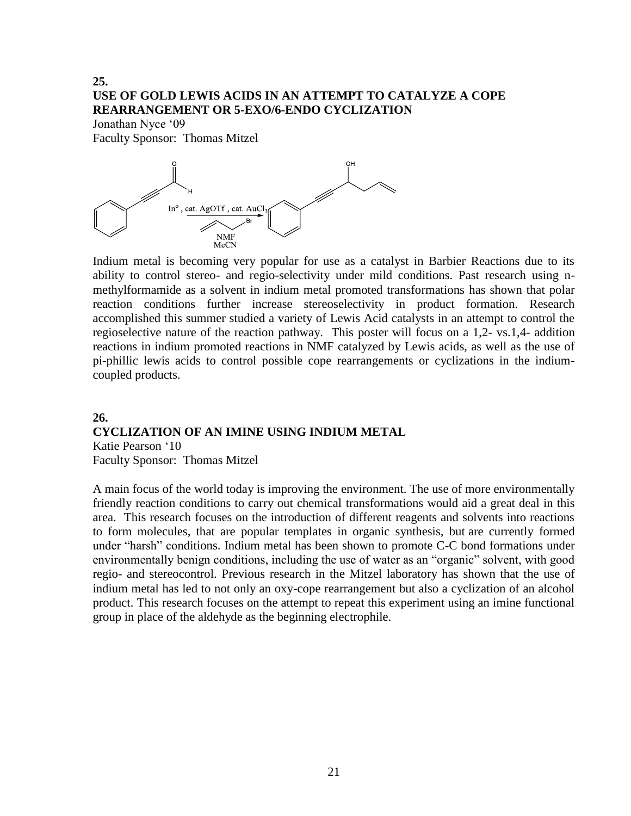# **25. USE OF GOLD LEWIS ACIDS IN AN ATTEMPT TO CATALYZE A COPE REARRANGEMENT OR 5-EXO/6-ENDO CYCLIZATION**

Jonathan Nyce '09 Faculty Sponsor: Thomas Mitzel



Indium metal is becoming very popular for use as a catalyst in Barbier Reactions due to its ability to control stereo- and regio-selectivity under mild conditions. Past research using nmethylformamide as a solvent in indium metal promoted transformations has shown that polar reaction conditions further increase stereoselectivity in product formation. Research accomplished this summer studied a variety of Lewis Acid catalysts in an attempt to control the regioselective nature of the reaction pathway. This poster will focus on a 1,2- vs.1,4- addition reactions in indium promoted reactions in NMF catalyzed by Lewis acids, as well as the use of pi-phillic lewis acids to control possible cope rearrangements or cyclizations in the indiumcoupled products.

### **26. CYCLIZATION OF AN IMINE USING INDIUM METAL**  Katie Pearson '10 Faculty Sponsor: Thomas Mitzel

A main focus of the world today is improving the environment. The use of more environmentally friendly reaction conditions to carry out chemical transformations would aid a great deal in this area. This research focuses on the introduction of different reagents and solvents into reactions to form molecules, that are popular templates in organic synthesis, but are currently formed under "harsh" conditions. Indium metal has been shown to promote C-C bond formations under environmentally benign conditions, including the use of water as an "organic" solvent, with good regio- and stereocontrol. Previous research in the Mitzel laboratory has shown that the use of indium metal has led to not only an oxy-cope rearrangement but also a cyclization of an alcohol product. This research focuses on the attempt to repeat this experiment using an imine functional group in place of the aldehyde as the beginning electrophile.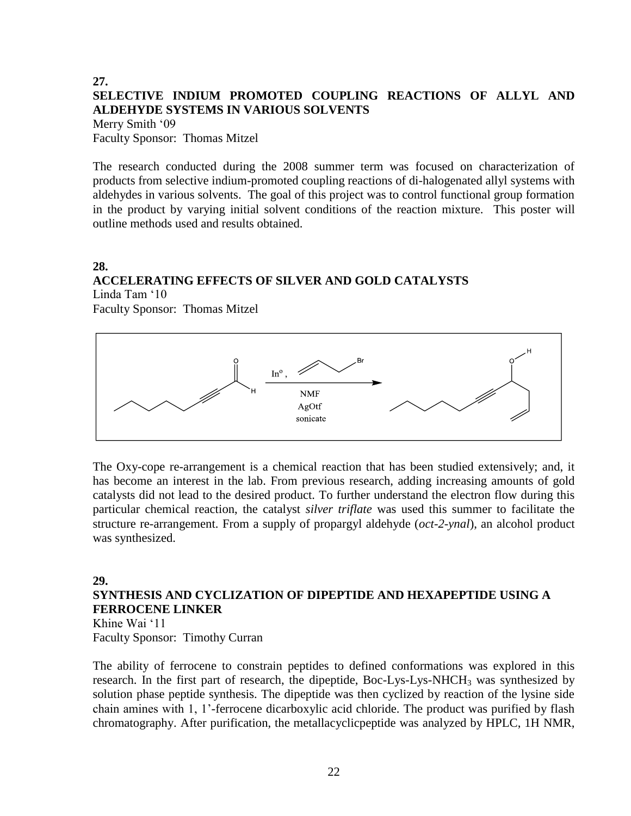### **27. SELECTIVE INDIUM PROMOTED COUPLING REACTIONS OF ALLYL AND ALDEHYDE SYSTEMS IN VARIOUS SOLVENTS** Merry Smith '09 Faculty Sponsor: Thomas Mitzel

The research conducted during the 2008 summer term was focused on characterization of products from selective indium-promoted coupling reactions of di-halogenated allyl systems with aldehydes in various solvents. The goal of this project was to control functional group formation in the product by varying initial solvent conditions of the reaction mixture. This poster will outline methods used and results obtained.

### **28. ACCELERATING EFFECTS OF SILVER AND GOLD CATALYSTS** Linda Tam '10

Faculty Sponsor: Thomas Mitzel



The Oxy-cope re-arrangement is a chemical reaction that has been studied extensively; and, it has become an interest in the lab. From previous research, adding increasing amounts of gold catalysts did not lead to the desired product. To further understand the electron flow during this particular chemical reaction, the catalyst *silver triflate* was used this summer to facilitate the structure re-arrangement. From a supply of propargyl aldehyde (*oct-2-ynal*), an alcohol product was synthesized.

### **29. SYNTHESIS AND CYCLIZATION OF DIPEPTIDE AND HEXAPEPTIDE USING A FERROCENE LINKER** Khine Wai '11

Faculty Sponsor: Timothy Curran

The ability of ferrocene to constrain peptides to defined conformations was explored in this research. In the first part of research, the dipeptide, Boc-Lys-Lys-NHCH<sub>3</sub> was synthesized by solution phase peptide synthesis. The dipeptide was then cyclized by reaction of the lysine side chain amines with 1, 1'-ferrocene dicarboxylic acid chloride. The product was purified by flash chromatography. After purification, the metallacyclicpeptide was analyzed by HPLC, 1H NMR,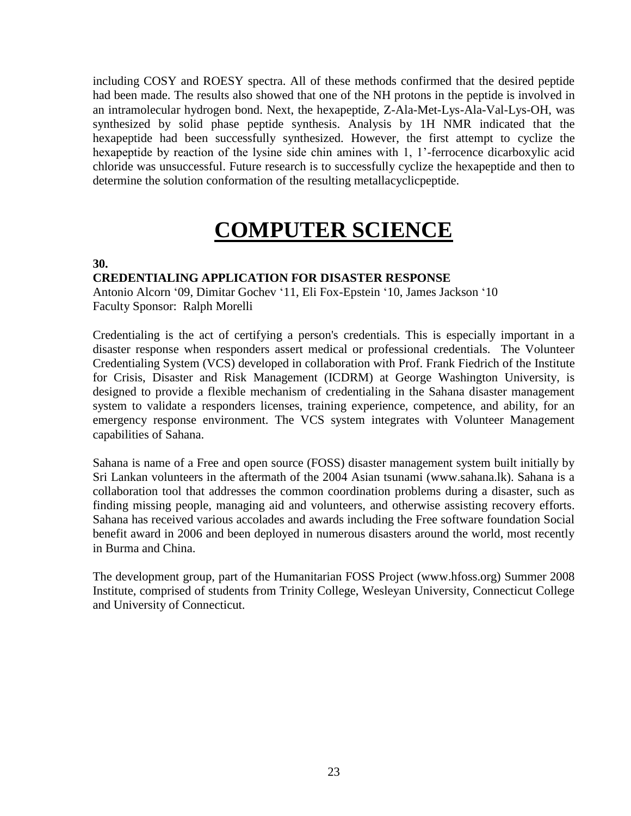including COSY and ROESY spectra. All of these methods confirmed that the desired peptide had been made. The results also showed that one of the NH protons in the peptide is involved in an intramolecular hydrogen bond. Next, the hexapeptide, Z-Ala-Met-Lys-Ala-Val-Lys-OH, was synthesized by solid phase peptide synthesis. Analysis by 1H NMR indicated that the hexapeptide had been successfully synthesized. However, the first attempt to cyclize the hexapeptide by reaction of the lysine side chin amines with 1, 1'-ferrocence dicarboxylic acid chloride was unsuccessful. Future research is to successfully cyclize the hexapeptide and then to determine the solution conformation of the resulting metallacyclicpeptide.

# **COMPUTER SCIENCE**

### **30.**

## **CREDENTIALING APPLICATION FOR DISASTER RESPONSE**

Antonio Alcorn '09, Dimitar Gochev '11, Eli Fox-Epstein '10, James Jackson '10 Faculty Sponsor: Ralph Morelli

Credentialing is the act of certifying a person's credentials. This is especially important in a disaster response when responders assert medical or professional credentials. The Volunteer Credentialing System (VCS) developed in collaboration with Prof. Frank Fiedrich of the Institute for Crisis, Disaster and Risk Management (ICDRM) at George Washington University, is designed to provide a flexible mechanism of credentialing in the Sahana disaster management system to validate a responders licenses, training experience, competence, and ability, for an emergency response environment. The VCS system integrates with Volunteer Management capabilities of Sahana.

Sahana is name of a Free and open source (FOSS) disaster management system built initially by Sri Lankan volunteers in the aftermath of the 2004 Asian tsunami (www.sahana.lk). Sahana is a collaboration tool that addresses the common coordination problems during a disaster, such as finding missing people, managing aid and volunteers, and otherwise assisting recovery efforts. Sahana has received various accolades and awards including the Free software foundation Social benefit award in 2006 and been deployed in numerous disasters around the world, most recently in Burma and China.

The development group, part of the Humanitarian FOSS Project (www.hfoss.org) Summer 2008 Institute, comprised of students from Trinity College, Wesleyan University, Connecticut College and University of Connecticut.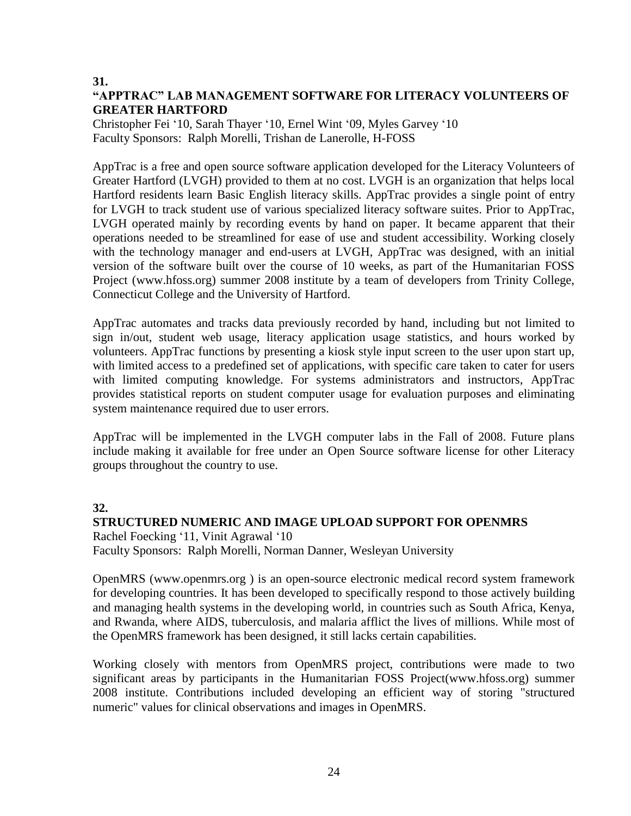### **31.**

# **"APPTRAC" LAB MANAGEMENT SOFTWARE FOR LITERACY VOLUNTEERS OF GREATER HARTFORD**

Christopher Fei '10, Sarah Thayer '10, Ernel Wint '09, Myles Garvey '10 Faculty Sponsors: Ralph Morelli, Trishan de Lanerolle, H-FOSS

AppTrac is a free and open source software application developed for the Literacy Volunteers of Greater Hartford (LVGH) provided to them at no cost. LVGH is an organization that helps local Hartford residents learn Basic English literacy skills. AppTrac provides a single point of entry for LVGH to track student use of various specialized literacy software suites. Prior to AppTrac, LVGH operated mainly by recording events by hand on paper. It became apparent that their operations needed to be streamlined for ease of use and student accessibility. Working closely with the technology manager and end-users at LVGH, AppTrac was designed, with an initial version of the software built over the course of 10 weeks, as part of the Humanitarian FOSS Project (www.hfoss.org) summer 2008 institute by a team of developers from Trinity College, Connecticut College and the University of Hartford.

AppTrac automates and tracks data previously recorded by hand, including but not limited to sign in/out, student web usage, literacy application usage statistics, and hours worked by volunteers. AppTrac functions by presenting a kiosk style input screen to the user upon start up, with limited access to a predefined set of applications, with specific care taken to cater for users with limited computing knowledge. For systems administrators and instructors, AppTrac provides statistical reports on student computer usage for evaluation purposes and eliminating system maintenance required due to user errors.

AppTrac will be implemented in the LVGH computer labs in the Fall of 2008. Future plans include making it available for free under an Open Source software license for other Literacy groups throughout the country to use.

## **32.**

## **STRUCTURED NUMERIC AND IMAGE UPLOAD SUPPORT FOR OPENMRS**

Rachel Foecking '11, Vinit Agrawal '10 Faculty Sponsors: Ralph Morelli, Norman Danner, Wesleyan University

OpenMRS (www.openmrs.org ) is an open-source electronic medical record system framework for developing countries. It has been developed to specifically respond to those actively building and managing health systems in the developing world, in countries such as South Africa, Kenya, and Rwanda, where AIDS, tuberculosis, and malaria afflict the lives of millions. While most of the OpenMRS framework has been designed, it still lacks certain capabilities.

Working closely with mentors from OpenMRS project, contributions were made to two significant areas by participants in the Humanitarian FOSS Project(www.hfoss.org) summer 2008 institute. Contributions included developing an efficient way of storing "structured numeric" values for clinical observations and images in OpenMRS.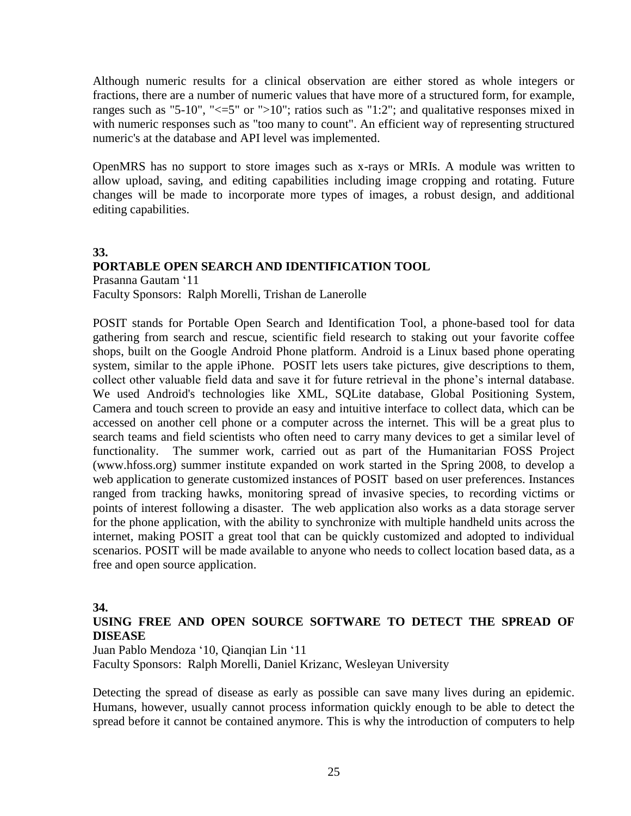Although numeric results for a clinical observation are either stored as whole integers or fractions, there are a number of numeric values that have more of a structured form, for example, ranges such as "5-10", " $\leq$ =5" or ">10"; ratios such as "1:2"; and qualitative responses mixed in with numeric responses such as "too many to count". An efficient way of representing structured numeric's at the database and API level was implemented.

OpenMRS has no support to store images such as x-rays or MRIs. A module was written to allow upload, saving, and editing capabilities including image cropping and rotating. Future changes will be made to incorporate more types of images, a robust design, and additional editing capabilities.

### **33.**

### **PORTABLE OPEN SEARCH AND IDENTIFICATION TOOL**

Prasanna Gautam '11

Faculty Sponsors: Ralph Morelli, Trishan de Lanerolle

POSIT stands for Portable Open Search and Identification Tool, a phone-based tool for data gathering from search and rescue, scientific field research to staking out your favorite coffee shops, built on the Google Android Phone platform. Android is a Linux based phone operating system, similar to the apple iPhone. POSIT lets users take pictures, give descriptions to them, collect other valuable field data and save it for future retrieval in the phone's internal database. We used Android's technologies like XML, SQLite database, Global Positioning System, Camera and touch screen to provide an easy and intuitive interface to collect data, which can be accessed on another cell phone or a computer across the internet. This will be a great plus to search teams and field scientists who often need to carry many devices to get a similar level of functionality. The summer work, carried out as part of the Humanitarian FOSS Project (www.hfoss.org) summer institute expanded on work started in the Spring 2008, to develop a web application to generate customized instances of POSIT based on user preferences. Instances ranged from tracking hawks, monitoring spread of invasive species, to recording victims or points of interest following a disaster. The web application also works as a data storage server for the phone application, with the ability to synchronize with multiple handheld units across the internet, making POSIT a great tool that can be quickly customized and adopted to individual scenarios. POSIT will be made available to anyone who needs to collect location based data, as a free and open source application.

### **34.**

### **USING FREE AND OPEN SOURCE SOFTWARE TO DETECT THE SPREAD OF DISEASE**

Juan Pablo Mendoza '10, Qianqian Lin '11 Faculty Sponsors: Ralph Morelli, Daniel Krizanc, Wesleyan University

Detecting the spread of disease as early as possible can save many lives during an epidemic. Humans, however, usually cannot process information quickly enough to be able to detect the spread before it cannot be contained anymore. This is why the introduction of computers to help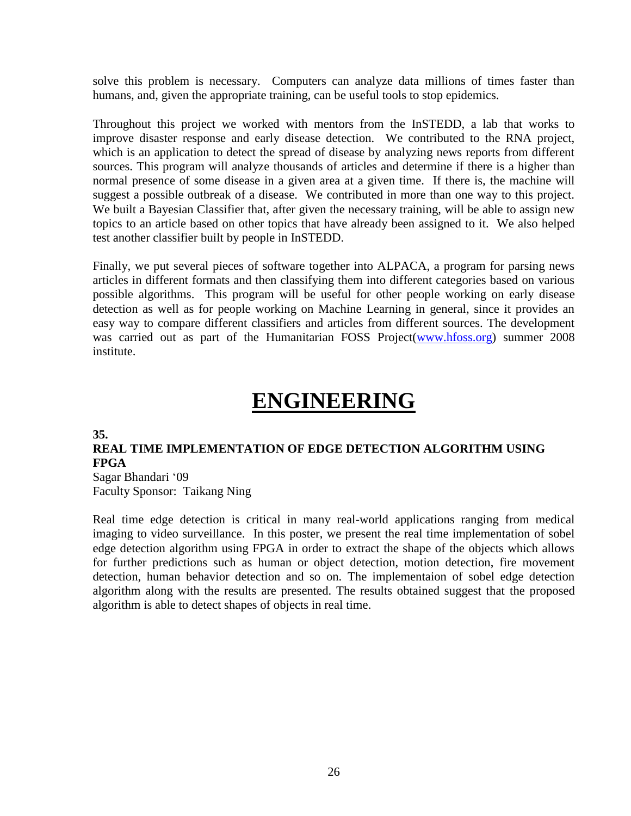solve this problem is necessary. Computers can analyze data millions of times faster than humans, and, given the appropriate training, can be useful tools to stop epidemics.

Throughout this project we worked with mentors from the InSTEDD, a lab that works to improve disaster response and early disease detection. We contributed to the RNA project, which is an application to detect the spread of disease by analyzing news reports from different sources. This program will analyze thousands of articles and determine if there is a higher than normal presence of some disease in a given area at a given time. If there is, the machine will suggest a possible outbreak of a disease. We contributed in more than one way to this project. We built a Bayesian Classifier that, after given the necessary training, will be able to assign new topics to an article based on other topics that have already been assigned to it. We also helped test another classifier built by people in InSTEDD.

Finally, we put several pieces of software together into ALPACA, a program for parsing news articles in different formats and then classifying them into different categories based on various possible algorithms. This program will be useful for other people working on early disease detection as well as for people working on Machine Learning in general, since it provides an easy way to compare different classifiers and articles from different sources. The development was carried out as part of the Humanitarian FOSS Project[\(www.hfoss.org\)](http://www.hfoss.org/) summer 2008 institute.

# **ENGINEERING**

**35.**

# **REAL TIME IMPLEMENTATION OF EDGE DETECTION ALGORITHM USING FPGA**

Sagar Bhandari '09 Faculty Sponsor: Taikang Ning

Real time edge detection is critical in many real-world applications ranging from medical imaging to video surveillance. In this poster, we present the real time implementation of sobel edge detection algorithm using FPGA in order to extract the shape of the objects which allows for further predictions such as human or object detection, motion detection, fire movement detection, human behavior detection and so on. The implementaion of sobel edge detection algorithm along with the results are presented. The results obtained suggest that the proposed algorithm is able to detect shapes of objects in real time.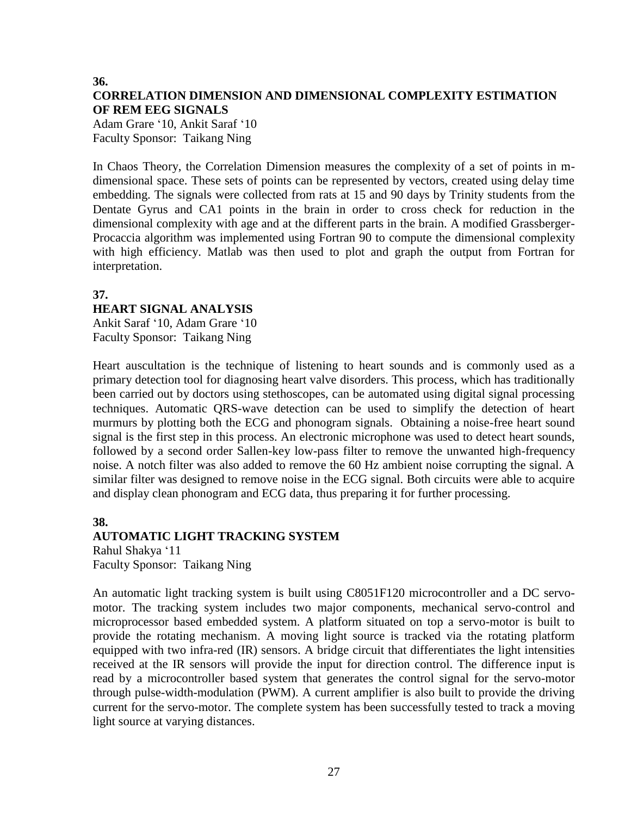# **36. CORRELATION DIMENSION AND DIMENSIONAL COMPLEXITY ESTIMATION OF REM EEG SIGNALS**

Adam Grare '10, Ankit Saraf '10 Faculty Sponsor: Taikang Ning

In Chaos Theory, the Correlation Dimension measures the complexity of a set of points in mdimensional space. These sets of points can be represented by vectors, created using delay time embedding. The signals were collected from rats at 15 and 90 days by Trinity students from the Dentate Gyrus and CA1 points in the brain in order to cross check for reduction in the dimensional complexity with age and at the different parts in the brain. A modified Grassberger-Procaccia algorithm was implemented using Fortran 90 to compute the dimensional complexity with high efficiency. Matlab was then used to plot and graph the output from Fortran for interpretation.

### **37.**

### **HEART SIGNAL ANALYSIS**

Ankit Saraf '10, Adam Grare '10 Faculty Sponsor: Taikang Ning

Heart auscultation is the technique of listening to heart sounds and is commonly used as a primary detection tool for diagnosing heart valve disorders. This process, which has traditionally been carried out by doctors using stethoscopes, can be automated using digital signal processing techniques. Automatic QRS-wave detection can be used to simplify the detection of heart murmurs by plotting both the ECG and phonogram signals. Obtaining a noise-free heart sound signal is the first step in this process. An electronic microphone was used to detect heart sounds, followed by a second order Sallen-key low-pass filter to remove the unwanted high-frequency noise. A notch filter was also added to remove the 60 Hz ambient noise corrupting the signal. A similar filter was designed to remove noise in the ECG signal. Both circuits were able to acquire and display clean phonogram and ECG data, thus preparing it for further processing.

## **38. AUTOMATIC LIGHT TRACKING SYSTEM** Rahul Shakya '11 Faculty Sponsor: Taikang Ning

An automatic light tracking system is built using C8051F120 microcontroller and a DC servomotor. The tracking system includes two major components, mechanical servo-control and microprocessor based embedded system. A platform situated on top a servo-motor is built to provide the rotating mechanism. A moving light source is tracked via the rotating platform equipped with two infra-red (IR) sensors. A bridge circuit that differentiates the light intensities received at the IR sensors will provide the input for direction control. The difference input is read by a microcontroller based system that generates the control signal for the servo-motor through pulse-width-modulation (PWM). A current amplifier is also built to provide the driving current for the servo-motor. The complete system has been successfully tested to track a moving light source at varying distances.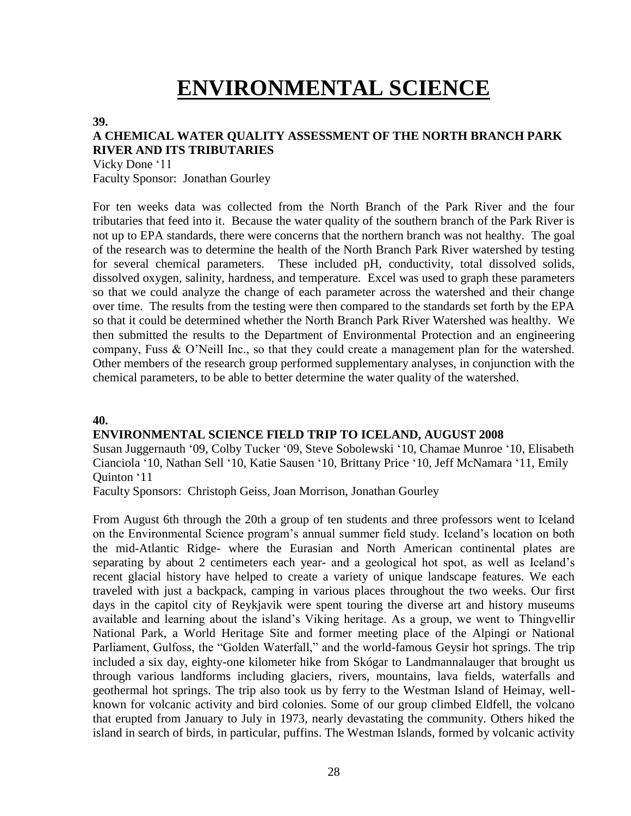# **ENVIRONMENTAL SCIENCE**

#### **39.**

# **A CHEMICAL WATER QUALITY ASSESSMENT OF THE NORTH BRANCH PARK RIVER AND ITS TRIBUTARIES**

Vicky Done '11 Faculty Sponsor: Jonathan Gourley

For ten weeks data was collected from the North Branch of the Park River and the four tributaries that feed into it. Because the water quality of the southern branch of the Park River is not up to EPA standards, there were concerns that the northern branch was not healthy. The goal of the research was to determine the health of the North Branch Park River watershed by testing for several chemical parameters. These included pH, conductivity, total dissolved solids, dissolved oxygen, salinity, hardness, and temperature. Excel was used to graph these parameters so that we could analyze the change of each parameter across the watershed and their change over time. The results from the testing were then compared to the standards set forth by the EPA so that it could be determined whether the North Branch Park River Watershed was healthy. We then submitted the results to the Department of Environmental Protection and an engineering company, Fuss & O'Neill Inc., so that they could create a management plan for the watershed. Other members of the research group performed supplementary analyses, in conjunction with the chemical parameters, to be able to better determine the water quality of the watershed.

### **40.**

### **ENVIRONMENTAL SCIENCE FIELD TRIP TO ICELAND, AUGUST 2008**

Susan Juggernauth '09, Colby Tucker '09, Steve Sobolewski '10, Chamae Munroe '10, Elisabeth Cianciola '10, Nathan Sell '10, Katie Sausen '10, Brittany Price '10, Jeff McNamara '11, Emily Quinton '11

Faculty Sponsors: Christoph Geiss, Joan Morrison, Jonathan Gourley

From August 6th through the 20th a group of ten students and three professors went to Iceland on the Environmental Science program's annual summer field study. Iceland's location on both the mid-Atlantic Ridge- where the Eurasian and North American continental plates are separating by about 2 centimeters each year- and a geological hot spot, as well as Iceland's recent glacial history have helped to create a variety of unique landscape features. We each traveled with just a backpack, camping in various places throughout the two weeks. Our first days in the capitol city of Reykjavik were spent touring the diverse art and history museums available and learning about the island's Viking heritage. As a group, we went to Thingvellir National Park, a World Heritage Site and former meeting place of the Alpingi or National Parliament, Gulfoss, the "Golden Waterfall," and the world-famous Geysir hot springs. The trip included a six day, eighty-one kilometer hike from Skógar to Landmannalauger that brought us through various landforms including glaciers, rivers, mountains, lava fields, waterfalls and geothermal hot springs. The trip also took us by ferry to the Westman Island of Heimay, wellknown for volcanic activity and bird colonies. Some of our group climbed Eldfell, the volcano that erupted from January to July in 1973, nearly devastating the community. Others hiked the island in search of birds, in particular, puffins. The Westman Islands, formed by volcanic activity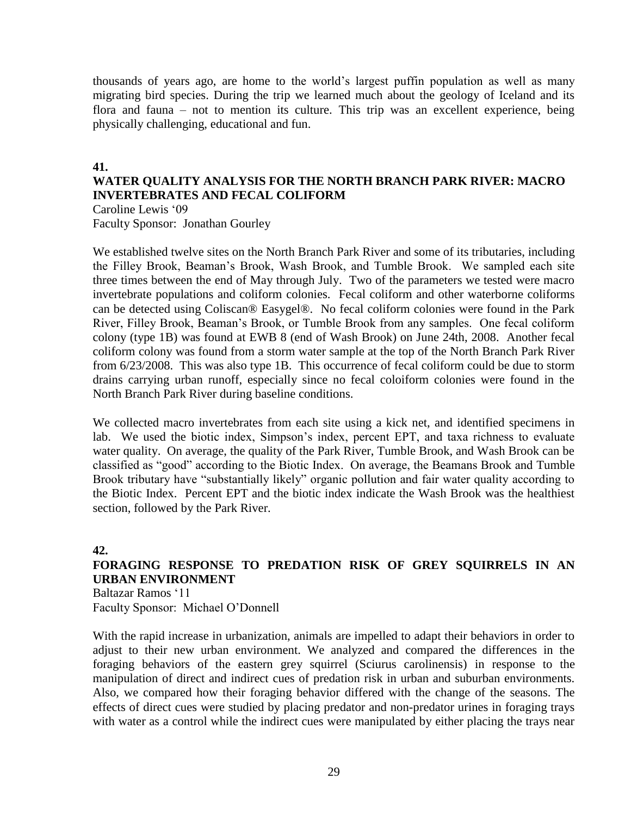thousands of years ago, are home to the world's largest puffin population as well as many migrating bird species. During the trip we learned much about the geology of Iceland and its flora and fauna – not to mention its culture. This trip was an excellent experience, being physically challenging, educational and fun.

### **41.**

# **WATER QUALITY ANALYSIS FOR THE NORTH BRANCH PARK RIVER: MACRO INVERTEBRATES AND FECAL COLIFORM**

Caroline Lewis '09 Faculty Sponsor: Jonathan Gourley

We established twelve sites on the North Branch Park River and some of its tributaries, including the Filley Brook, Beaman's Brook, Wash Brook, and Tumble Brook. We sampled each site three times between the end of May through July. Two of the parameters we tested were macro invertebrate populations and coliform colonies. Fecal coliform and other waterborne coliforms can be detected using Coliscan® Easygel®. No fecal coliform colonies were found in the Park River, Filley Brook, Beaman's Brook, or Tumble Brook from any samples. One fecal coliform colony (type 1B) was found at EWB 8 (end of Wash Brook) on June 24th, 2008. Another fecal coliform colony was found from a storm water sample at the top of the North Branch Park River from 6/23/2008. This was also type 1B. This occurrence of fecal coliform could be due to storm drains carrying urban runoff, especially since no fecal coloiform colonies were found in the North Branch Park River during baseline conditions.

We collected macro invertebrates from each site using a kick net, and identified specimens in lab. We used the biotic index, Simpson's index, percent EPT, and taxa richness to evaluate water quality. On average, the quality of the Park River, Tumble Brook, and Wash Brook can be classified as "good" according to the Biotic Index. On average, the Beamans Brook and Tumble Brook tributary have "substantially likely" organic pollution and fair water quality according to the Biotic Index. Percent EPT and the biotic index indicate the Wash Brook was the healthiest section, followed by the Park River.

## **42.**

# **FORAGING RESPONSE TO PREDATION RISK OF GREY SQUIRRELS IN AN URBAN ENVIRONMENT**

Baltazar Ramos '11 Faculty Sponsor: Michael O'Donnell

With the rapid increase in urbanization, animals are impelled to adapt their behaviors in order to adjust to their new urban environment. We analyzed and compared the differences in the foraging behaviors of the eastern grey squirrel (Sciurus carolinensis) in response to the manipulation of direct and indirect cues of predation risk in urban and suburban environments. Also, we compared how their foraging behavior differed with the change of the seasons. The effects of direct cues were studied by placing predator and non-predator urines in foraging trays with water as a control while the indirect cues were manipulated by either placing the trays near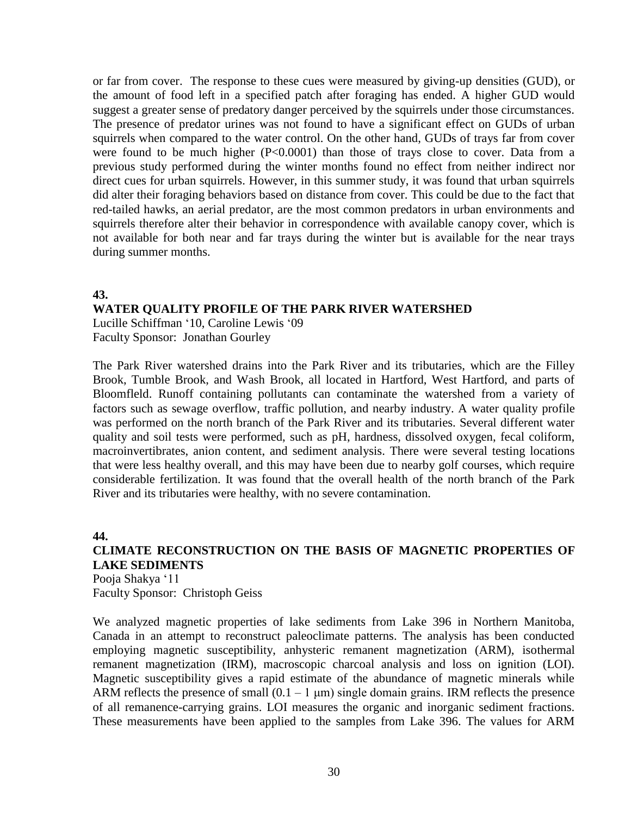or far from cover. The response to these cues were measured by giving-up densities (GUD), or the amount of food left in a specified patch after foraging has ended. A higher GUD would suggest a greater sense of predatory danger perceived by the squirrels under those circumstances. The presence of predator urines was not found to have a significant effect on GUDs of urban squirrels when compared to the water control. On the other hand, GUDs of trays far from cover were found to be much higher (P<0.0001) than those of trays close to cover. Data from a previous study performed during the winter months found no effect from neither indirect nor direct cues for urban squirrels. However, in this summer study, it was found that urban squirrels did alter their foraging behaviors based on distance from cover. This could be due to the fact that red-tailed hawks, an aerial predator, are the most common predators in urban environments and squirrels therefore alter their behavior in correspondence with available canopy cover, which is not available for both near and far trays during the winter but is available for the near trays during summer months.

### **43.**

### **WATER QUALITY PROFILE OF THE PARK RIVER WATERSHED**

Lucille Schiffman '10, Caroline Lewis '09 Faculty Sponsor: Jonathan Gourley

The Park River watershed drains into the Park River and its tributaries, which are the Filley Brook, Tumble Brook, and Wash Brook, all located in Hartford, West Hartford, and parts of Bloomfleld. Runoff containing pollutants can contaminate the watershed from a variety of factors such as sewage overflow, traffic pollution, and nearby industry. A water quality profile was performed on the north branch of the Park River and its tributaries. Several different water quality and soil tests were performed, such as pH, hardness, dissolved oxygen, fecal coliform, macroinvertibrates, anion content, and sediment analysis. There were several testing locations that were less healthy overall, and this may have been due to nearby golf courses, which require considerable fertilization. It was found that the overall health of the north branch of the Park River and its tributaries were healthy, with no severe contamination.

#### **44.**

# **CLIMATE RECONSTRUCTION ON THE BASIS OF MAGNETIC PROPERTIES OF LAKE SEDIMENTS**

Pooja Shakya '11 Faculty Sponsor: Christoph Geiss

We analyzed magnetic properties of lake sediments from Lake 396 in Northern Manitoba, Canada in an attempt to reconstruct paleoclimate patterns. The analysis has been conducted employing magnetic susceptibility, anhysteric remanent magnetization (ARM), isothermal remanent magnetization (IRM), macroscopic charcoal analysis and loss on ignition (LOI). Magnetic susceptibility gives a rapid estimate of the abundance of magnetic minerals while ARM reflects the presence of small  $(0.1 - 1 \mu m)$  single domain grains. IRM reflects the presence of all remanence-carrying grains. LOI measures the organic and inorganic sediment fractions. These measurements have been applied to the samples from Lake 396. The values for ARM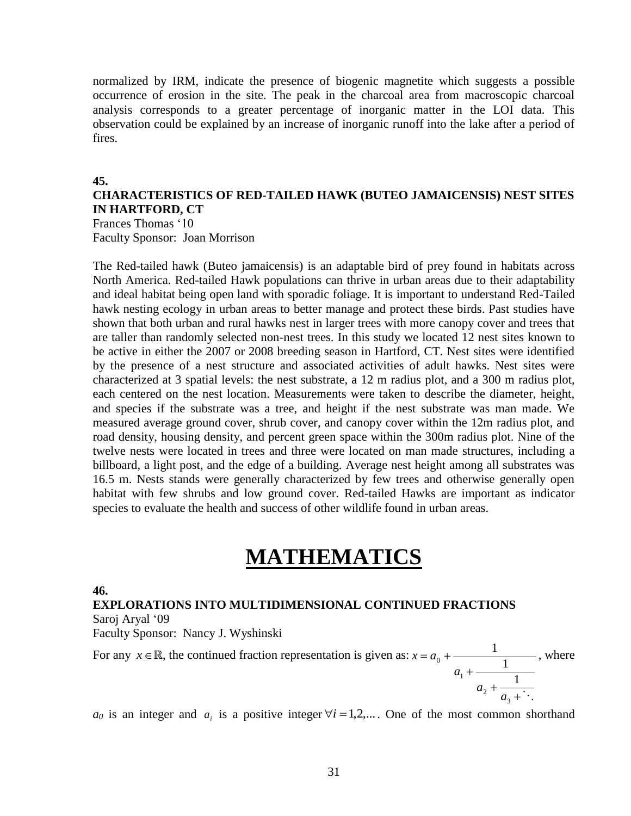normalized by IRM, indicate the presence of biogenic magnetite which suggests a possible occurrence of erosion in the site. The peak in the charcoal area from macroscopic charcoal analysis corresponds to a greater percentage of inorganic matter in the LOI data. This observation could be explained by an increase of inorganic runoff into the lake after a period of fires.

#### **45.**

## **CHARACTERISTICS OF RED-TAILED HAWK (BUTEO JAMAICENSIS) NEST SITES IN HARTFORD, CT**

Frances Thomas '10 Faculty Sponsor: Joan Morrison

The Red-tailed hawk (Buteo jamaicensis) is an adaptable bird of prey found in habitats across North America. Red-tailed Hawk populations can thrive in urban areas due to their adaptability and ideal habitat being open land with sporadic foliage. It is important to understand Red-Tailed hawk nesting ecology in urban areas to better manage and protect these birds. Past studies have shown that both urban and rural hawks nest in larger trees with more canopy cover and trees that are taller than randomly selected non-nest trees. In this study we located 12 nest sites known to be active in either the 2007 or 2008 breeding season in Hartford, CT. Nest sites were identified by the presence of a nest structure and associated activities of adult hawks. Nest sites were characterized at 3 spatial levels: the nest substrate, a 12 m radius plot, and a 300 m radius plot, each centered on the nest location. Measurements were taken to describe the diameter, height, and species if the substrate was a tree, and height if the nest substrate was man made. We measured average ground cover, shrub cover, and canopy cover within the 12m radius plot, and road density, housing density, and percent green space within the 300m radius plot. Nine of the twelve nests were located in trees and three were located on man made structures, including a billboard, a light post, and the edge of a building. Average nest height among all substrates was 16.5 m. Nests stands were generally characterized by few trees and otherwise generally open habitat with few shrubs and low ground cover. Red-tailed Hawks are important as indicator species to evaluate the health and success of other wildlife found in urban areas.

# **MATHEMATICS**

**46.**

### **EXPLORATIONS INTO MULTIDIMENSIONAL CONTINUED FRACTIONS** Saroj Aryal '09

Faculty Sponsor: Nancy J. Wyshinski

For any  $x \in \mathbb{R}$ , the continued fraction representation is given as:  $+\frac{1}{a_2+\ddots}$  $\, + \,$  $= a_{\circ} +$ 3 2 1 0 1 1 1 *a a a*  $x = a_0 + \frac{1}{1}$ , where

 $a_0$  is an integer and  $a_i$  is a positive integer  $\forall i = 1, 2,...$  One of the most common shorthand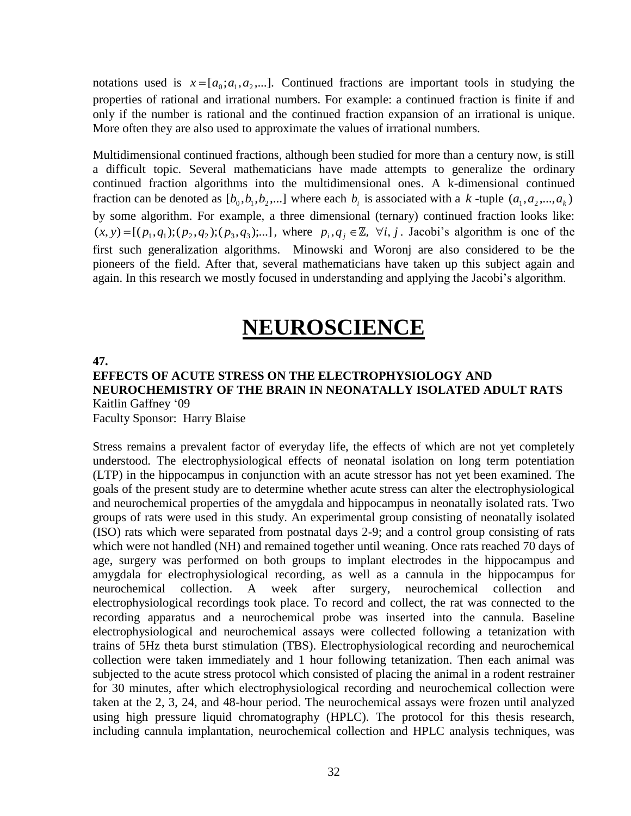notations used is  $x = [a_0; a_1, a_2, \dots]$ . Continued fractions are important tools in studying the properties of rational and irrational numbers. For example: a continued fraction is finite if and only if the number is rational and the continued fraction expansion of an irrational is unique. More often they are also used to approximate the values of irrational numbers.

Multidimensional continued fractions, although been studied for more than a century now, is still a difficult topic. Several mathematicians have made attempts to generalize the ordinary continued fraction algorithms into the multidimensional ones. A k-dimensional continued fraction can be denoted as  $[b_0, b_1, b_2, \dots]$  where each  $b_i$  is associated with a k-tuple  $(a_1, a_2, \dots, a_k)$ by some algorithm. For example, a three dimensional (ternary) continued fraction looks like:  $(x, y) = [(p_1, q_1); (p_2, q_2); (p_3, q_3); \dots]$ , where  $p_i, q_j \in \mathbb{Z}$ ,  $\forall i, j$ . Jacobi's algorithm is one of the first such generalization algorithms. Minowski and Woronj are also considered to be the pioneers of the field. After that, several mathematicians have taken up this subject again and again. In this research we mostly focused in understanding and applying the Jacobi's algorithm.

# **NEUROSCIENCE**

#### **47.**

# **EFFECTS OF ACUTE STRESS ON THE ELECTROPHYSIOLOGY AND NEUROCHEMISTRY OF THE BRAIN IN NEONATALLY ISOLATED ADULT RATS** Kaitlin Gaffney '09

Faculty Sponsor: Harry Blaise

Stress remains a prevalent factor of everyday life, the effects of which are not yet completely understood. The electrophysiological effects of neonatal isolation on long term potentiation (LTP) in the hippocampus in conjunction with an acute stressor has not yet been examined. The goals of the present study are to determine whether acute stress can alter the electrophysiological and neurochemical properties of the amygdala and hippocampus in neonatally isolated rats. Two groups of rats were used in this study. An experimental group consisting of neonatally isolated (ISO) rats which were separated from postnatal days 2-9; and a control group consisting of rats which were not handled (NH) and remained together until weaning. Once rats reached 70 days of age, surgery was performed on both groups to implant electrodes in the hippocampus and amygdala for electrophysiological recording, as well as a cannula in the hippocampus for neurochemical collection. A week after surgery, neurochemical collection and electrophysiological recordings took place. To record and collect, the rat was connected to the recording apparatus and a neurochemical probe was inserted into the cannula. Baseline electrophysiological and neurochemical assays were collected following a tetanization with trains of 5Hz theta burst stimulation (TBS). Electrophysiological recording and neurochemical collection were taken immediately and 1 hour following tetanization. Then each animal was subjected to the acute stress protocol which consisted of placing the animal in a rodent restrainer for 30 minutes, after which electrophysiological recording and neurochemical collection were taken at the 2, 3, 24, and 48-hour period. The neurochemical assays were frozen until analyzed using high pressure liquid chromatography (HPLC). The protocol for this thesis research, including cannula implantation, neurochemical collection and HPLC analysis techniques, was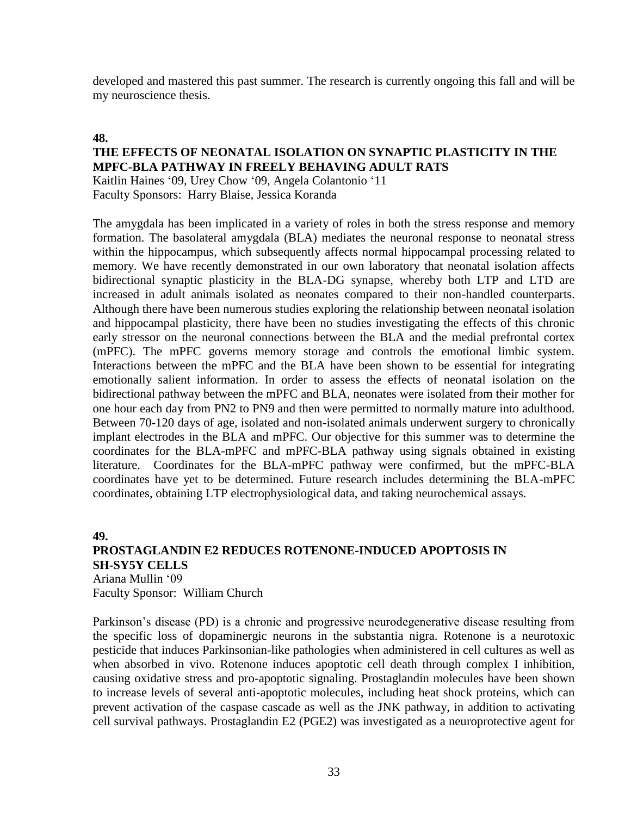developed and mastered this past summer. The research is currently ongoing this fall and will be my neuroscience thesis.

### **48.**

### **THE EFFECTS OF NEONATAL ISOLATION ON SYNAPTIC PLASTICITY IN THE MPFC-BLA PATHWAY IN FREELY BEHAVING ADULT RATS**

Kaitlin Haines '09, Urey Chow '09, Angela Colantonio '11 Faculty Sponsors: Harry Blaise, Jessica Koranda

The amygdala has been implicated in a variety of roles in both the stress response and memory formation. The basolateral amygdala (BLA) mediates the neuronal response to neonatal stress within the hippocampus, which subsequently affects normal hippocampal processing related to memory. We have recently demonstrated in our own laboratory that neonatal isolation affects bidirectional synaptic plasticity in the BLA-DG synapse, whereby both LTP and LTD are increased in adult animals isolated as neonates compared to their non-handled counterparts. Although there have been numerous studies exploring the relationship between neonatal isolation and hippocampal plasticity, there have been no studies investigating the effects of this chronic early stressor on the neuronal connections between the BLA and the medial prefrontal cortex (mPFC). The mPFC governs memory storage and controls the emotional limbic system. Interactions between the mPFC and the BLA have been shown to be essential for integrating emotionally salient information. In order to assess the effects of neonatal isolation on the bidirectional pathway between the mPFC and BLA, neonates were isolated from their mother for one hour each day from PN2 to PN9 and then were permitted to normally mature into adulthood. Between 70-120 days of age, isolated and non-isolated animals underwent surgery to chronically implant electrodes in the BLA and mPFC. Our objective for this summer was to determine the coordinates for the BLA-mPFC and mPFC-BLA pathway using signals obtained in existing literature. Coordinates for the BLA-mPFC pathway were confirmed, but the mPFC-BLA coordinates have yet to be determined. Future research includes determining the BLA-mPFC coordinates, obtaining LTP electrophysiological data, and taking neurochemical assays.

### **49. PROSTAGLANDIN E2 REDUCES ROTENONE-INDUCED APOPTOSIS IN SH-SY5Y CELLS** Ariana Mullin '09

Faculty Sponsor: William Church

Parkinson's disease (PD) is a chronic and progressive neurodegenerative disease resulting from the specific loss of dopaminergic neurons in the substantia nigra. Rotenone is a neurotoxic pesticide that induces Parkinsonian-like pathologies when administered in cell cultures as well as when absorbed in vivo. Rotenone induces apoptotic cell death through complex I inhibition, causing oxidative stress and pro-apoptotic signaling. Prostaglandin molecules have been shown to increase levels of several anti-apoptotic molecules, including heat shock proteins, which can prevent activation of the caspase cascade as well as the JNK pathway, in addition to activating cell survival pathways. Prostaglandin E2 (PGE2) was investigated as a neuroprotective agent for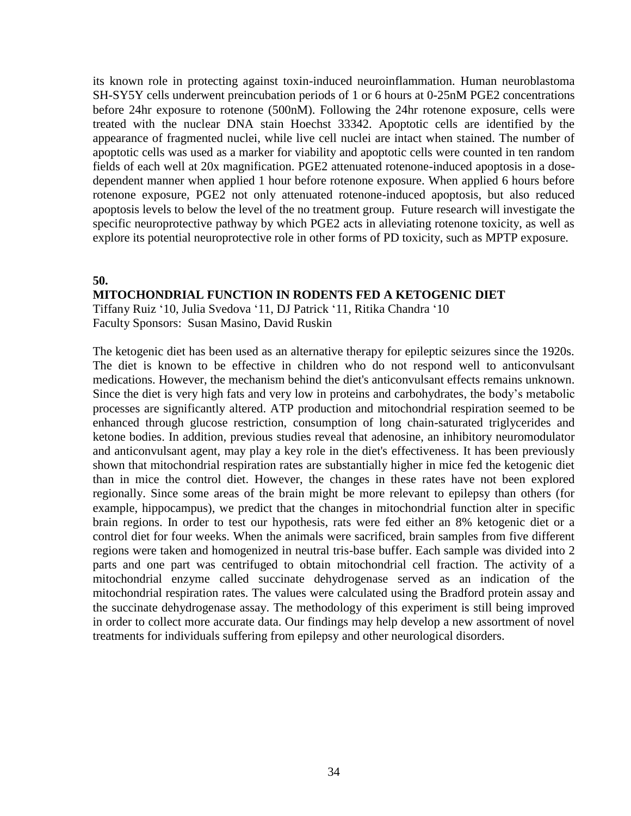its known role in protecting against toxin-induced neuroinflammation. Human neuroblastoma SH-SY5Y cells underwent preincubation periods of 1 or 6 hours at 0-25nM PGE2 concentrations before 24hr exposure to rotenone (500nM). Following the 24hr rotenone exposure, cells were treated with the nuclear DNA stain Hoechst 33342. Apoptotic cells are identified by the appearance of fragmented nuclei, while live cell nuclei are intact when stained. The number of apoptotic cells was used as a marker for viability and apoptotic cells were counted in ten random fields of each well at 20x magnification. PGE2 attenuated rotenone-induced apoptosis in a dosedependent manner when applied 1 hour before rotenone exposure. When applied 6 hours before rotenone exposure, PGE2 not only attenuated rotenone-induced apoptosis, but also reduced apoptosis levels to below the level of the no treatment group. Future research will investigate the specific neuroprotective pathway by which PGE2 acts in alleviating rotenone toxicity, as well as explore its potential neuroprotective role in other forms of PD toxicity, such as MPTP exposure.

#### **50.**

### **MITOCHONDRIAL FUNCTION IN RODENTS FED A KETOGENIC DIET**

Tiffany Ruiz '10, Julia Svedova '11, DJ Patrick '11, Ritika Chandra '10 Faculty Sponsors: Susan Masino, David Ruskin

The ketogenic diet has been used as an alternative therapy for epileptic seizures since the 1920s. The diet is known to be effective in children who do not respond well to anticonvulsant medications. However, the mechanism behind the diet's anticonvulsant effects remains unknown. Since the diet is very high fats and very low in proteins and carbohydrates, the body's metabolic processes are significantly altered. ATP production and mitochondrial respiration seemed to be enhanced through glucose restriction, consumption of long chain-saturated triglycerides and ketone bodies. In addition, previous studies reveal that adenosine, an inhibitory neuromodulator and anticonvulsant agent, may play a key role in the diet's effectiveness. It has been previously shown that mitochondrial respiration rates are substantially higher in mice fed the ketogenic diet than in mice the control diet. However, the changes in these rates have not been explored regionally. Since some areas of the brain might be more relevant to epilepsy than others (for example, hippocampus), we predict that the changes in mitochondrial function alter in specific brain regions. In order to test our hypothesis, rats were fed either an 8% ketogenic diet or a control diet for four weeks. When the animals were sacrificed, brain samples from five different regions were taken and homogenized in neutral tris-base buffer. Each sample was divided into 2 parts and one part was centrifuged to obtain mitochondrial cell fraction. The activity of a mitochondrial enzyme called succinate dehydrogenase served as an indication of the mitochondrial respiration rates. The values were calculated using the Bradford protein assay and the succinate dehydrogenase assay. The methodology of this experiment is still being improved in order to collect more accurate data. Our findings may help develop a new assortment of novel treatments for individuals suffering from epilepsy and other neurological disorders.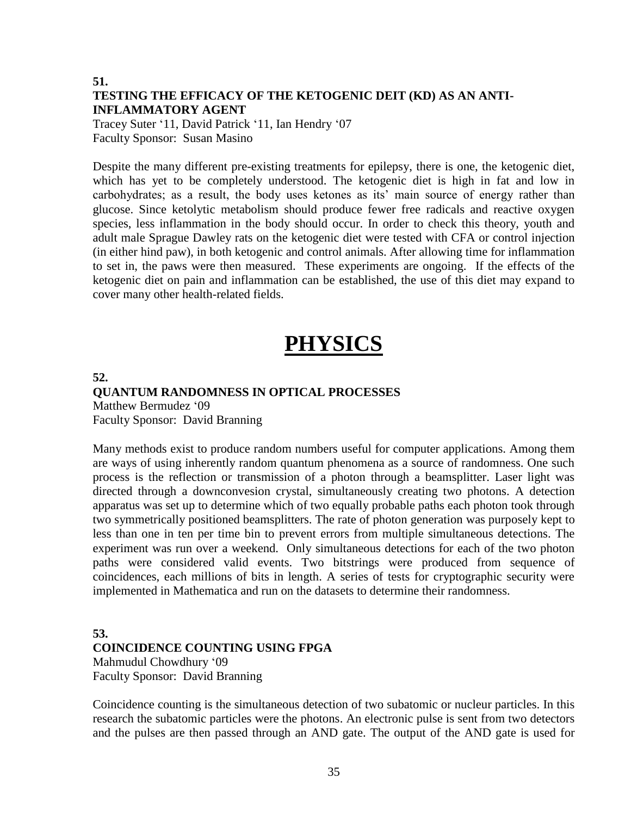# **51. TESTING THE EFFICACY OF THE KETOGENIC DEIT (KD) AS AN ANTI-INFLAMMATORY AGENT**

Tracey Suter '11, David Patrick '11, Ian Hendry '07 Faculty Sponsor: Susan Masino

Despite the many different pre-existing treatments for epilepsy, there is one, the ketogenic diet, which has yet to be completely understood. The ketogenic diet is high in fat and low in carbohydrates; as a result, the body uses ketones as its' main source of energy rather than glucose. Since ketolytic metabolism should produce fewer free radicals and reactive oxygen species, less inflammation in the body should occur. In order to check this theory, youth and adult male Sprague Dawley rats on the ketogenic diet were tested with CFA or control injection (in either hind paw), in both ketogenic and control animals. After allowing time for inflammation to set in, the paws were then measured. These experiments are ongoing. If the effects of the ketogenic diet on pain and inflammation can be established, the use of this diet may expand to cover many other health-related fields.

# **PHYSICS**

**52.**

### **QUANTUM RANDOMNESS IN OPTICAL PROCESSES** Matthew Bermudez '09 Faculty Sponsor: David Branning

Many methods exist to produce random numbers useful for computer applications. Among them are ways of using inherently random quantum phenomena as a source of randomness. One such process is the reflection or transmission of a photon through a beamsplitter. Laser light was directed through a downconvesion crystal, simultaneously creating two photons. A detection apparatus was set up to determine which of two equally probable paths each photon took through two symmetrically positioned beamsplitters. The rate of photon generation was purposely kept to less than one in ten per time bin to prevent errors from multiple simultaneous detections. The experiment was run over a weekend. Only simultaneous detections for each of the two photon paths were considered valid events. Two bitstrings were produced from sequence of coincidences, each millions of bits in length. A series of tests for cryptographic security were implemented in Mathematica and run on the datasets to determine their randomness.

## **53. COINCIDENCE COUNTING USING FPGA** Mahmudul Chowdhury '09 Faculty Sponsor: David Branning

Coincidence counting is the simultaneous detection of two subatomic or nucleur particles. In this research the subatomic particles were the photons. An electronic pulse is sent from two detectors and the pulses are then passed through an AND gate. The output of the AND gate is used for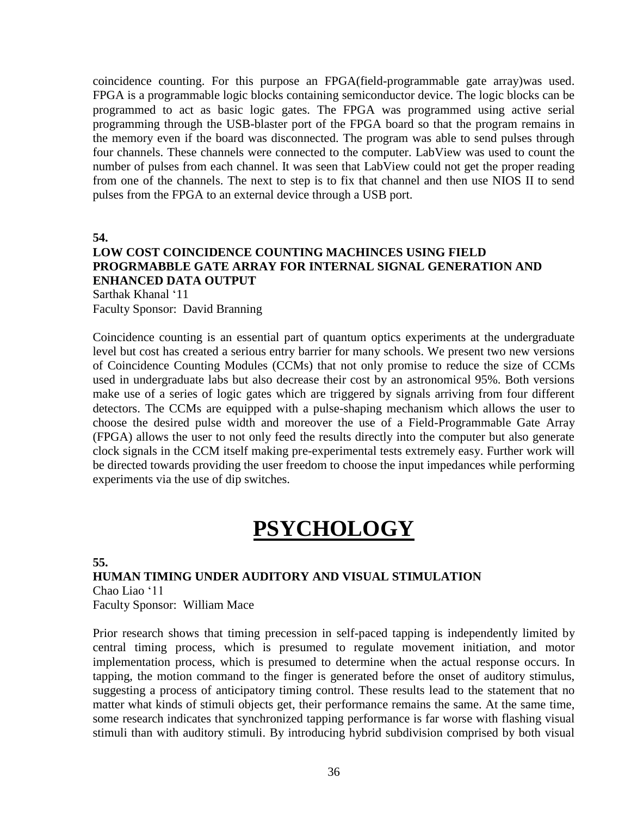coincidence counting. For this purpose an FPGA(field-programmable gate array)was used. FPGA is a programmable logic blocks containing semiconductor device. The logic blocks can be programmed to act as basic logic gates. The FPGA was programmed using active serial programming through the USB-blaster port of the FPGA board so that the program remains in the memory even if the board was disconnected. The program was able to send pulses through four channels. These channels were connected to the computer. LabView was used to count the number of pulses from each channel. It was seen that LabView could not get the proper reading from one of the channels. The next to step is to fix that channel and then use NIOS II to send pulses from the FPGA to an external device through a USB port.

**54.**

## **LOW COST COINCIDENCE COUNTING MACHINCES USING FIELD PROGRMABBLE GATE ARRAY FOR INTERNAL SIGNAL GENERATION AND ENHANCED DATA OUTPUT**

Sarthak Khanal '11 Faculty Sponsor: David Branning

Coincidence counting is an essential part of quantum optics experiments at the undergraduate level but cost has created a serious entry barrier for many schools. We present two new versions of Coincidence Counting Modules (CCMs) that not only promise to reduce the size of CCMs used in undergraduate labs but also decrease their cost by an astronomical 95%. Both versions make use of a series of logic gates which are triggered by signals arriving from four different detectors. The CCMs are equipped with a pulse-shaping mechanism which allows the user to choose the desired pulse width and moreover the use of a Field-Programmable Gate Array (FPGA) allows the user to not only feed the results directly into the computer but also generate clock signals in the CCM itself making pre-experimental tests extremely easy. Further work will be directed towards providing the user freedom to choose the input impedances while performing experiments via the use of dip switches.

# **PSYCHOLOGY**

**55.**

### **HUMAN TIMING UNDER AUDITORY AND VISUAL STIMULATION** Chao Liao '11 Faculty Sponsor: William Mace

Prior research shows that timing precession in self-paced tapping is independently limited by central timing process, which is presumed to regulate movement initiation, and motor implementation process, which is presumed to determine when the actual response occurs. In tapping, the motion command to the finger is generated before the onset of auditory stimulus, suggesting a process of anticipatory timing control. These results lead to the statement that no matter what kinds of stimuli objects get, their performance remains the same. At the same time, some research indicates that synchronized tapping performance is far worse with flashing visual stimuli than with auditory stimuli. By introducing hybrid subdivision comprised by both visual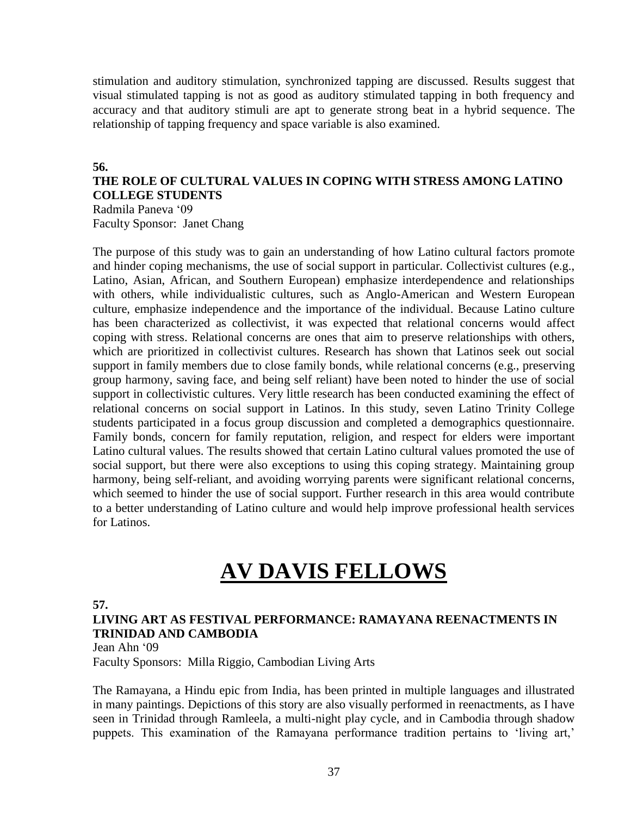stimulation and auditory stimulation, synchronized tapping are discussed. Results suggest that visual stimulated tapping is not as good as auditory stimulated tapping in both frequency and accuracy and that auditory stimuli are apt to generate strong beat in a hybrid sequence. The relationship of tapping frequency and space variable is also examined.

### **56.**

### **THE ROLE OF CULTURAL VALUES IN COPING WITH STRESS AMONG LATINO COLLEGE STUDENTS** Radmila Paneva '09

Faculty Sponsor: Janet Chang

The purpose of this study was to gain an understanding of how Latino cultural factors promote and hinder coping mechanisms, the use of social support in particular. Collectivist cultures (e.g., Latino, Asian, African, and Southern European) emphasize interdependence and relationships with others, while individualistic cultures, such as Anglo-American and Western European culture, emphasize independence and the importance of the individual. Because Latino culture has been characterized as collectivist, it was expected that relational concerns would affect coping with stress. Relational concerns are ones that aim to preserve relationships with others, which are prioritized in collectivist cultures. Research has shown that Latinos seek out social support in family members due to close family bonds, while relational concerns (e.g., preserving group harmony, saving face, and being self reliant) have been noted to hinder the use of social support in collectivistic cultures. Very little research has been conducted examining the effect of relational concerns on social support in Latinos. In this study, seven Latino Trinity College students participated in a focus group discussion and completed a demographics questionnaire. Family bonds, concern for family reputation, religion, and respect for elders were important Latino cultural values. The results showed that certain Latino cultural values promoted the use of social support, but there were also exceptions to using this coping strategy. Maintaining group harmony, being self-reliant, and avoiding worrying parents were significant relational concerns, which seemed to hinder the use of social support. Further research in this area would contribute to a better understanding of Latino culture and would help improve professional health services for Latinos.

# **AV DAVIS FELLOWS**

### **57.**

# **LIVING ART AS FESTIVAL PERFORMANCE: RAMAYANA REENACTMENTS IN TRINIDAD AND CAMBODIA**

Jean Ahn '09

Faculty Sponsors: Milla Riggio, Cambodian Living Arts

The Ramayana, a Hindu epic from India, has been printed in multiple languages and illustrated in many paintings. Depictions of this story are also visually performed in reenactments, as I have seen in Trinidad through Ramleela, a multi-night play cycle, and in Cambodia through shadow puppets. This examination of the Ramayana performance tradition pertains to 'living art,'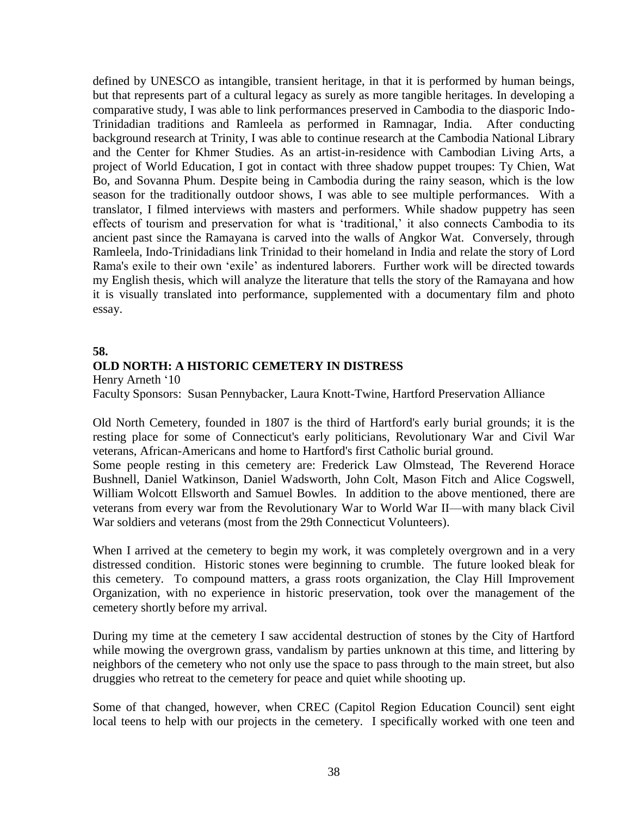defined by UNESCO as intangible, transient heritage, in that it is performed by human beings, but that represents part of a cultural legacy as surely as more tangible heritages. In developing a comparative study, I was able to link performances preserved in Cambodia to the diasporic Indo-Trinidadian traditions and Ramleela as performed in Ramnagar, India. After conducting background research at Trinity, I was able to continue research at the Cambodia National Library and the Center for Khmer Studies. As an artist-in-residence with Cambodian Living Arts, a project of World Education, I got in contact with three shadow puppet troupes: Ty Chien, Wat Bo, and Sovanna Phum. Despite being in Cambodia during the rainy season, which is the low season for the traditionally outdoor shows, I was able to see multiple performances. With a translator, I filmed interviews with masters and performers. While shadow puppetry has seen effects of tourism and preservation for what is 'traditional,' it also connects Cambodia to its ancient past since the Ramayana is carved into the walls of Angkor Wat. Conversely, through Ramleela, Indo-Trinidadians link Trinidad to their homeland in India and relate the story of Lord Rama's exile to their own 'exile' as indentured laborers. Further work will be directed towards my English thesis, which will analyze the literature that tells the story of the Ramayana and how it is visually translated into performance, supplemented with a documentary film and photo essay.

### **58.**

### **OLD NORTH: A HISTORIC CEMETERY IN DISTRESS**

Henry Arneth '10

Faculty Sponsors: Susan Pennybacker, Laura Knott-Twine, Hartford Preservation Alliance

Old North Cemetery, founded in 1807 is the third of Hartford's early burial grounds; it is the resting place for some of Connecticut's early politicians, Revolutionary War and Civil War veterans, African-Americans and home to Hartford's first Catholic burial ground.

Some people resting in this cemetery are: Frederick Law Olmstead, The Reverend Horace Bushnell, Daniel Watkinson, Daniel Wadsworth, John Colt, Mason Fitch and Alice Cogswell, William Wolcott Ellsworth and Samuel Bowles. In addition to the above mentioned, there are veterans from every war from the Revolutionary War to World War II—with many black Civil War soldiers and veterans (most from the 29th Connecticut Volunteers).

When I arrived at the cemetery to begin my work, it was completely overgrown and in a very distressed condition. Historic stones were beginning to crumble. The future looked bleak for this cemetery. To compound matters, a grass roots organization, the Clay Hill Improvement Organization, with no experience in historic preservation, took over the management of the cemetery shortly before my arrival.

During my time at the cemetery I saw accidental destruction of stones by the City of Hartford while mowing the overgrown grass, vandalism by parties unknown at this time, and littering by neighbors of the cemetery who not only use the space to pass through to the main street, but also druggies who retreat to the cemetery for peace and quiet while shooting up.

Some of that changed, however, when CREC (Capitol Region Education Council) sent eight local teens to help with our projects in the cemetery. I specifically worked with one teen and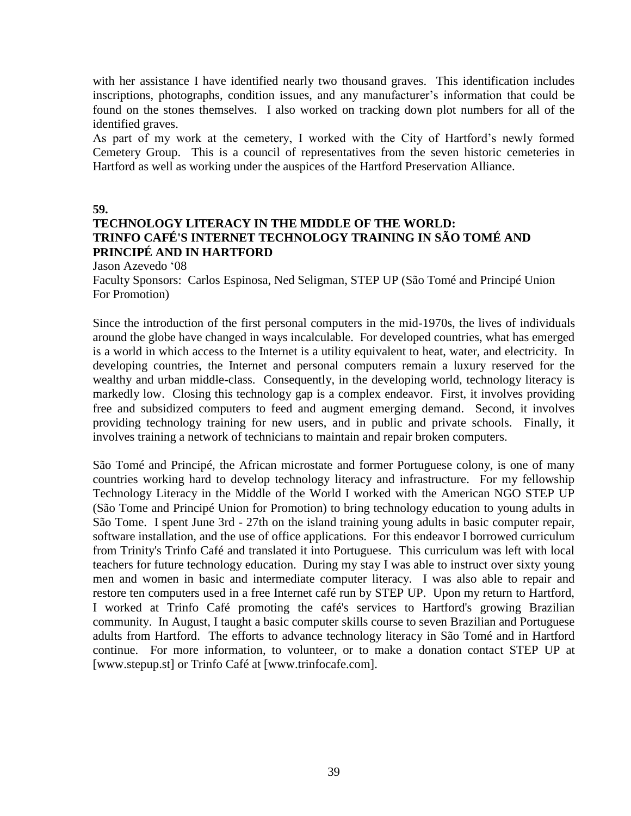with her assistance I have identified nearly two thousand graves. This identification includes inscriptions, photographs, condition issues, and any manufacturer's information that could be found on the stones themselves. I also worked on tracking down plot numbers for all of the identified graves.

As part of my work at the cemetery, I worked with the City of Hartford's newly formed Cemetery Group. This is a council of representatives from the seven historic cemeteries in Hartford as well as working under the auspices of the Hartford Preservation Alliance.

**59.**

# **TECHNOLOGY LITERACY IN THE MIDDLE OF THE WORLD: TRINFO CAFÉ'S INTERNET TECHNOLOGY TRAINING IN SÃO TOMÉ AND PRINCIPÉ AND IN HARTFORD**

Jason Azevedo '08

Faculty Sponsors: Carlos Espinosa, Ned Seligman, STEP UP (São Tomé and Principé Union For Promotion)

Since the introduction of the first personal computers in the mid-1970s, the lives of individuals around the globe have changed in ways incalculable. For developed countries, what has emerged is a world in which access to the Internet is a utility equivalent to heat, water, and electricity. In developing countries, the Internet and personal computers remain a luxury reserved for the wealthy and urban middle-class. Consequently, in the developing world, technology literacy is markedly low. Closing this technology gap is a complex endeavor. First, it involves providing free and subsidized computers to feed and augment emerging demand. Second, it involves providing technology training for new users, and in public and private schools. Finally, it involves training a network of technicians to maintain and repair broken computers.

São Tomé and Principé, the African microstate and former Portuguese colony, is one of many countries working hard to develop technology literacy and infrastructure. For my fellowship Technology Literacy in the Middle of the World I worked with the American NGO STEP UP (São Tome and Principé Union for Promotion) to bring technology education to young adults in São Tome. I spent June 3rd - 27th on the island training young adults in basic computer repair, software installation, and the use of office applications. For this endeavor I borrowed curriculum from Trinity's Trinfo Café and translated it into Portuguese. This curriculum was left with local teachers for future technology education. During my stay I was able to instruct over sixty young men and women in basic and intermediate computer literacy. I was also able to repair and restore ten computers used in a free Internet café run by STEP UP. Upon my return to Hartford, I worked at Trinfo Café promoting the café's services to Hartford's growing Brazilian community. In August, I taught a basic computer skills course to seven Brazilian and Portuguese adults from Hartford. The efforts to advance technology literacy in São Tomé and in Hartford continue. For more information, to volunteer, or to make a donation contact STEP UP at [www.stepup.st] or Trinfo Café at [www.trinfocafe.com].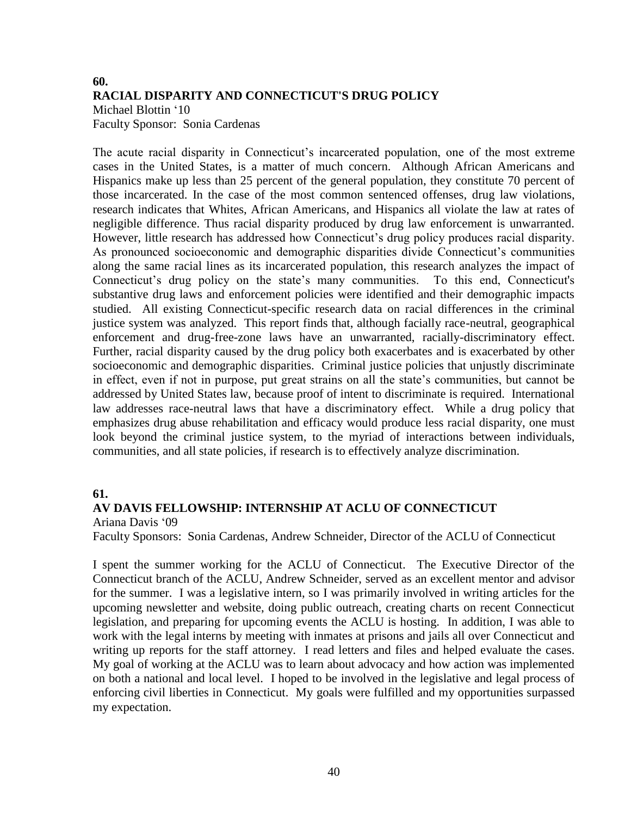# **60. RACIAL DISPARITY AND CONNECTICUT'S DRUG POLICY** Michael Blottin '10 Faculty Sponsor: Sonia Cardenas

The acute racial disparity in Connecticut's incarcerated population, one of the most extreme cases in the United States, is a matter of much concern. Although African Americans and Hispanics make up less than 25 percent of the general population, they constitute 70 percent of those incarcerated. In the case of the most common sentenced offenses, drug law violations, research indicates that Whites, African Americans, and Hispanics all violate the law at rates of negligible difference. Thus racial disparity produced by drug law enforcement is unwarranted. However, little research has addressed how Connecticut's drug policy produces racial disparity. As pronounced socioeconomic and demographic disparities divide Connecticut's communities along the same racial lines as its incarcerated population, this research analyzes the impact of Connecticut's drug policy on the state's many communities. To this end, Connecticut's substantive drug laws and enforcement policies were identified and their demographic impacts studied. All existing Connecticut-specific research data on racial differences in the criminal justice system was analyzed. This report finds that, although facially race-neutral, geographical enforcement and drug-free-zone laws have an unwarranted, racially-discriminatory effect. Further, racial disparity caused by the drug policy both exacerbates and is exacerbated by other socioeconomic and demographic disparities. Criminal justice policies that unjustly discriminate in effect, even if not in purpose, put great strains on all the state's communities, but cannot be addressed by United States law, because proof of intent to discriminate is required. International law addresses race-neutral laws that have a discriminatory effect. While a drug policy that emphasizes drug abuse rehabilitation and efficacy would produce less racial disparity, one must look beyond the criminal justice system, to the myriad of interactions between individuals, communities, and all state policies, if research is to effectively analyze discrimination.

### **61.**

### **AV DAVIS FELLOWSHIP: INTERNSHIP AT ACLU OF CONNECTICUT**

Ariana Davis '09

Faculty Sponsors: Sonia Cardenas, Andrew Schneider, Director of the ACLU of Connecticut

I spent the summer working for the ACLU of Connecticut. The Executive Director of the Connecticut branch of the ACLU, Andrew Schneider, served as an excellent mentor and advisor for the summer. I was a legislative intern, so I was primarily involved in writing articles for the upcoming newsletter and website, doing public outreach, creating charts on recent Connecticut legislation, and preparing for upcoming events the ACLU is hosting. In addition, I was able to work with the legal interns by meeting with inmates at prisons and jails all over Connecticut and writing up reports for the staff attorney. I read letters and files and helped evaluate the cases. My goal of working at the ACLU was to learn about advocacy and how action was implemented on both a national and local level. I hoped to be involved in the legislative and legal process of enforcing civil liberties in Connecticut. My goals were fulfilled and my opportunities surpassed my expectation.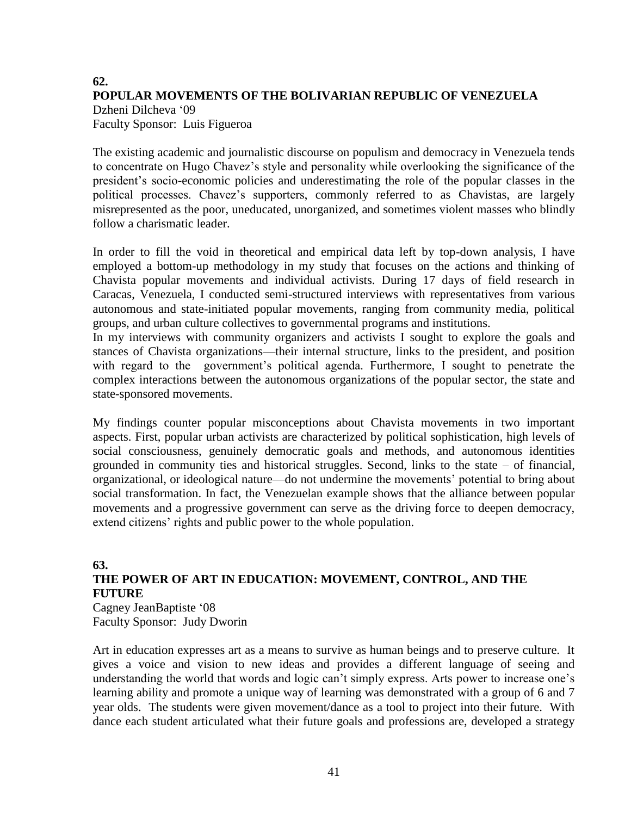# **62. POPULAR MOVEMENTS OF THE BOLIVARIAN REPUBLIC OF VENEZUELA** Dzheni Dilcheva '09 Faculty Sponsor: Luis Figueroa

The existing academic and journalistic discourse on populism and democracy in Venezuela tends to concentrate on Hugo Chavez's style and personality while overlooking the significance of the president's socio-economic policies and underestimating the role of the popular classes in the political processes. Chavez's supporters, commonly referred to as Chavistas, are largely misrepresented as the poor, uneducated, unorganized, and sometimes violent masses who blindly follow a charismatic leader.

In order to fill the void in theoretical and empirical data left by top-down analysis, I have employed a bottom-up methodology in my study that focuses on the actions and thinking of Chavista popular movements and individual activists. During 17 days of field research in Caracas, Venezuela, I conducted semi-structured interviews with representatives from various autonomous and state-initiated popular movements, ranging from community media, political groups, and urban culture collectives to governmental programs and institutions.

In my interviews with community organizers and activists I sought to explore the goals and stances of Chavista organizations—their internal structure, links to the president, and position with regard to the government's political agenda. Furthermore, I sought to penetrate the complex interactions between the autonomous organizations of the popular sector, the state and state-sponsored movements.

My findings counter popular misconceptions about Chavista movements in two important aspects. First, popular urban activists are characterized by political sophistication, high levels of social consciousness, genuinely democratic goals and methods, and autonomous identities grounded in community ties and historical struggles. Second, links to the state – of financial, organizational, or ideological nature—do not undermine the movements' potential to bring about social transformation. In fact, the Venezuelan example shows that the alliance between popular movements and a progressive government can serve as the driving force to deepen democracy, extend citizens' rights and public power to the whole population.

### **63. THE POWER OF ART IN EDUCATION: MOVEMENT, CONTROL, AND THE FUTURE** Cagney JeanBaptiste '08

Faculty Sponsor: Judy Dworin

Art in education expresses art as a means to survive as human beings and to preserve culture. It gives a voice and vision to new ideas and provides a different language of seeing and understanding the world that words and logic can't simply express. Arts power to increase one's learning ability and promote a unique way of learning was demonstrated with a group of 6 and 7 year olds. The students were given movement/dance as a tool to project into their future. With dance each student articulated what their future goals and professions are, developed a strategy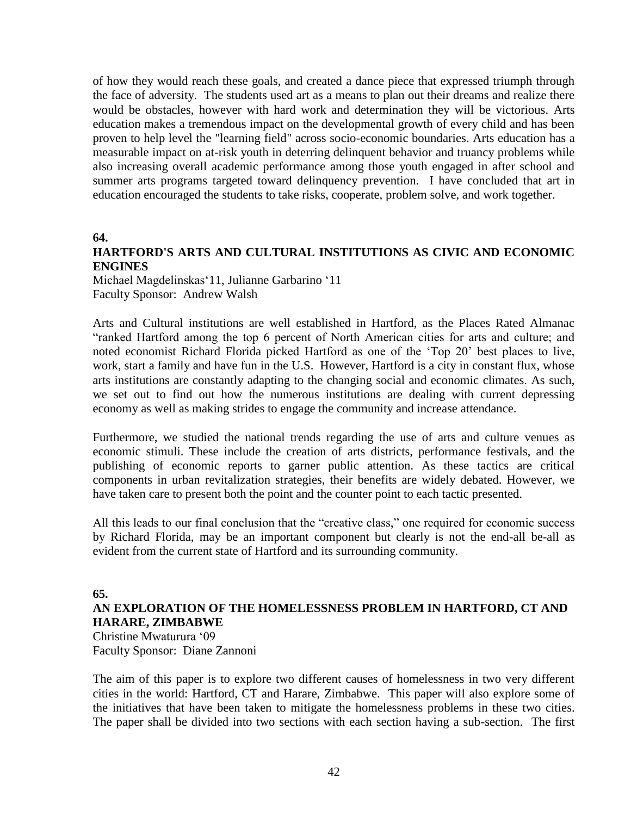of how they would reach these goals, and created a dance piece that expressed triumph through the face of adversity. The students used art as a means to plan out their dreams and realize there would be obstacles, however with hard work and determination they will be victorious. Arts education makes a tremendous impact on the developmental growth of every child and has been proven to help level the "learning field" across socio-economic boundaries. Arts education has a measurable impact on at-risk youth in deterring delinquent behavior and truancy problems while also increasing overall academic performance among those youth engaged in after school and summer arts programs targeted toward delinquency prevention. I have concluded that art in education encouraged the students to take risks, cooperate, problem solve, and work together.

### **64.**

## **HARTFORD'S ARTS AND CULTURAL INSTITUTIONS AS CIVIC AND ECONOMIC ENGINES**

Michael Magdelinskas'11, Julianne Garbarino '11 Faculty Sponsor: Andrew Walsh

Arts and Cultural institutions are well established in Hartford, as the Places Rated Almanac "ranked Hartford among the top 6 percent of North American cities for arts and culture; and noted economist Richard Florida picked Hartford as one of the 'Top 20' best places to live, work, start a family and have fun in the U.S. However, Hartford is a city in constant flux, whose arts institutions are constantly adapting to the changing social and economic climates. As such, we set out to find out how the numerous institutions are dealing with current depressing economy as well as making strides to engage the community and increase attendance.

Furthermore, we studied the national trends regarding the use of arts and culture venues as economic stimuli. These include the creation of arts districts, performance festivals, and the publishing of economic reports to garner public attention. As these tactics are critical components in urban revitalization strategies, their benefits are widely debated. However, we have taken care to present both the point and the counter point to each tactic presented.

All this leads to our final conclusion that the "creative class," one required for economic success by Richard Florida, may be an important component but clearly is not the end-all be-all as evident from the current state of Hartford and its surrounding community.

### **65.**

## **AN EXPLORATION OF THE HOMELESSNESS PROBLEM IN HARTFORD, CT AND HARARE, ZIMBABWE**

Christine Mwaturura '09 Faculty Sponsor: Diane Zannoni

The aim of this paper is to explore two different causes of homelessness in two very different cities in the world: Hartford, CT and Harare, Zimbabwe. This paper will also explore some of the initiatives that have been taken to mitigate the homelessness problems in these two cities. The paper shall be divided into two sections with each section having a sub-section. The first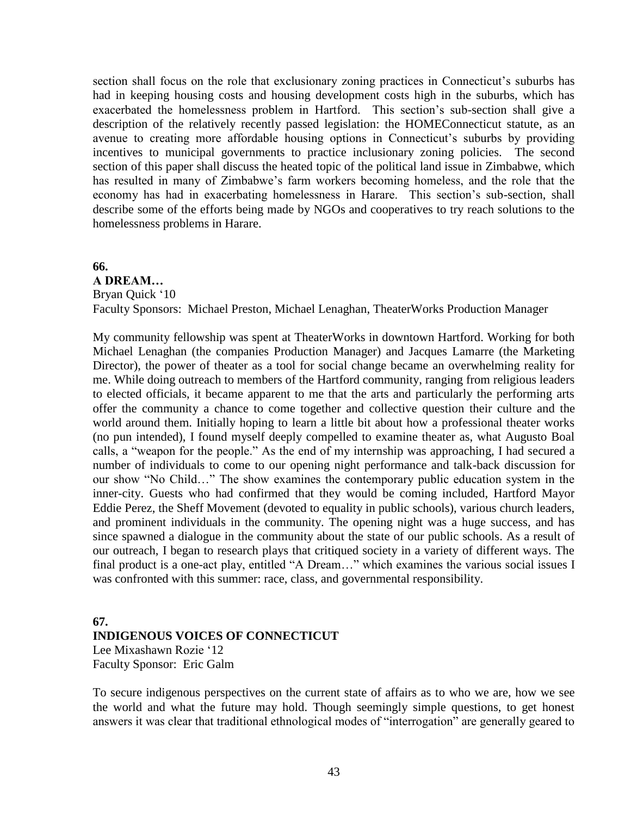section shall focus on the role that exclusionary zoning practices in Connecticut's suburbs has had in keeping housing costs and housing development costs high in the suburbs, which has exacerbated the homelessness problem in Hartford. This section's sub-section shall give a description of the relatively recently passed legislation: the HOMEConnecticut statute, as an avenue to creating more affordable housing options in Connecticut's suburbs by providing incentives to municipal governments to practice inclusionary zoning policies. The second section of this paper shall discuss the heated topic of the political land issue in Zimbabwe, which has resulted in many of Zimbabwe's farm workers becoming homeless, and the role that the economy has had in exacerbating homelessness in Harare. This section's sub-section, shall describe some of the efforts being made by NGOs and cooperatives to try reach solutions to the homelessness problems in Harare.

### **66.**

**A DREAM…** Bryan Quick '10 Faculty Sponsors: Michael Preston, Michael Lenaghan, TheaterWorks Production Manager

My community fellowship was spent at TheaterWorks in downtown Hartford. Working for both Michael Lenaghan (the companies Production Manager) and Jacques Lamarre (the Marketing Director), the power of theater as a tool for social change became an overwhelming reality for me. While doing outreach to members of the Hartford community, ranging from religious leaders to elected officials, it became apparent to me that the arts and particularly the performing arts offer the community a chance to come together and collective question their culture and the world around them. Initially hoping to learn a little bit about how a professional theater works (no pun intended), I found myself deeply compelled to examine theater as, what Augusto Boal calls, a "weapon for the people." As the end of my internship was approaching, I had secured a number of individuals to come to our opening night performance and talk-back discussion for our show "No Child…" The show examines the contemporary public education system in the inner-city. Guests who had confirmed that they would be coming included, Hartford Mayor Eddie Perez, the Sheff Movement (devoted to equality in public schools), various church leaders, and prominent individuals in the community. The opening night was a huge success, and has since spawned a dialogue in the community about the state of our public schools. As a result of our outreach, I began to research plays that critiqued society in a variety of different ways. The final product is a one-act play, entitled "A Dream…" which examines the various social issues I was confronted with this summer: race, class, and governmental responsibility.

# **67. INDIGENOUS VOICES OF CONNECTICUT**

Lee Mixashawn Rozie '12 Faculty Sponsor: Eric Galm

To secure indigenous perspectives on the current state of affairs as to who we are, how we see the world and what the future may hold. Though seemingly simple questions, to get honest answers it was clear that traditional ethnological modes of "interrogation" are generally geared to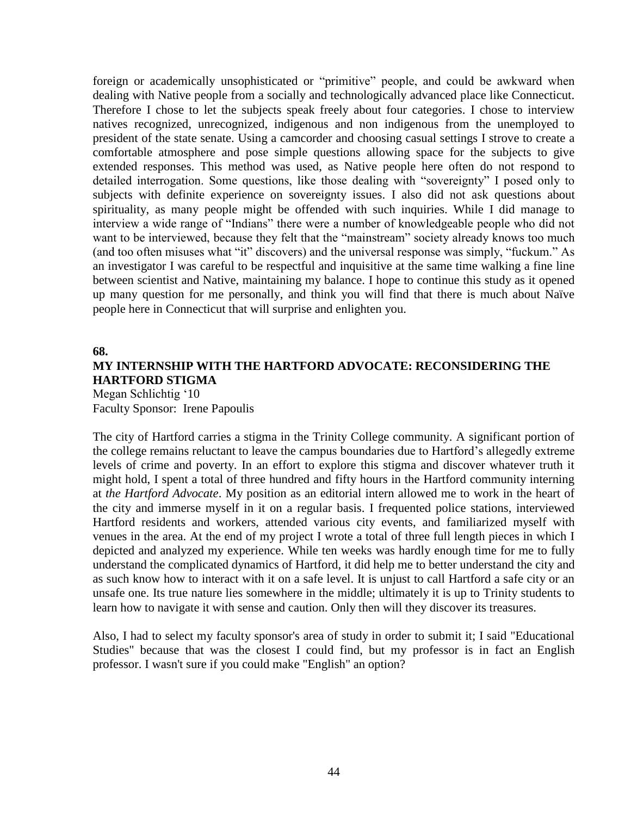foreign or academically unsophisticated or "primitive" people, and could be awkward when dealing with Native people from a socially and technologically advanced place like Connecticut. Therefore I chose to let the subjects speak freely about four categories. I chose to interview natives recognized, unrecognized, indigenous and non indigenous from the unemployed to president of the state senate. Using a camcorder and choosing casual settings I strove to create a comfortable atmosphere and pose simple questions allowing space for the subjects to give extended responses. This method was used, as Native people here often do not respond to detailed interrogation. Some questions, like those dealing with "sovereignty" I posed only to subjects with definite experience on sovereignty issues. I also did not ask questions about spirituality, as many people might be offended with such inquiries. While I did manage to interview a wide range of "Indians" there were a number of knowledgeable people who did not want to be interviewed, because they felt that the "mainstream" society already knows too much (and too often misuses what "it" discovers) and the universal response was simply, "fuckum." As an investigator I was careful to be respectful and inquisitive at the same time walking a fine line between scientist and Native, maintaining my balance. I hope to continue this study as it opened up many question for me personally, and think you will find that there is much about Naïve people here in Connecticut that will surprise and enlighten you.

#### **68.**

# **MY INTERNSHIP WITH THE HARTFORD ADVOCATE: RECONSIDERING THE HARTFORD STIGMA**

Megan Schlichtig '10 Faculty Sponsor: Irene Papoulis

The city of Hartford carries a stigma in the Trinity College community. A significant portion of the college remains reluctant to leave the campus boundaries due to Hartford's allegedly extreme levels of crime and poverty. In an effort to explore this stigma and discover whatever truth it might hold, I spent a total of three hundred and fifty hours in the Hartford community interning at *the Hartford Advocate*. My position as an editorial intern allowed me to work in the heart of the city and immerse myself in it on a regular basis. I frequented police stations, interviewed Hartford residents and workers, attended various city events, and familiarized myself with venues in the area. At the end of my project I wrote a total of three full length pieces in which I depicted and analyzed my experience. While ten weeks was hardly enough time for me to fully understand the complicated dynamics of Hartford, it did help me to better understand the city and as such know how to interact with it on a safe level. It is unjust to call Hartford a safe city or an unsafe one. Its true nature lies somewhere in the middle; ultimately it is up to Trinity students to learn how to navigate it with sense and caution. Only then will they discover its treasures.

Also, I had to select my faculty sponsor's area of study in order to submit it; I said "Educational Studies" because that was the closest I could find, but my professor is in fact an English professor. I wasn't sure if you could make "English" an option?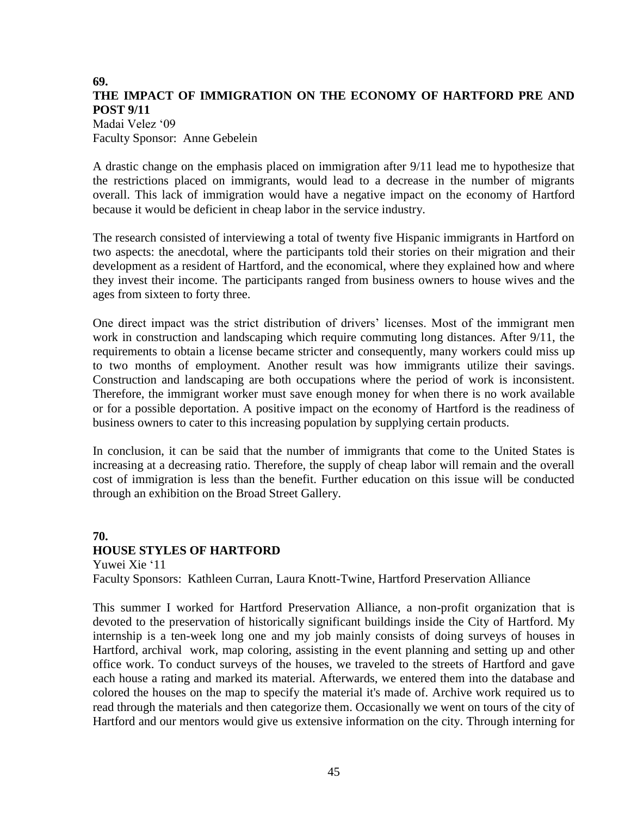### **69. THE IMPACT OF IMMIGRATION ON THE ECONOMY OF HARTFORD PRE AND POST 9/11** Madai Velez '09

Faculty Sponsor: Anne Gebelein

A drastic change on the emphasis placed on immigration after 9/11 lead me to hypothesize that the restrictions placed on immigrants, would lead to a decrease in the number of migrants overall. This lack of immigration would have a negative impact on the economy of Hartford because it would be deficient in cheap labor in the service industry.

The research consisted of interviewing a total of twenty five Hispanic immigrants in Hartford on two aspects: the anecdotal, where the participants told their stories on their migration and their development as a resident of Hartford, and the economical, where they explained how and where they invest their income. The participants ranged from business owners to house wives and the ages from sixteen to forty three.

One direct impact was the strict distribution of drivers' licenses. Most of the immigrant men work in construction and landscaping which require commuting long distances. After 9/11, the requirements to obtain a license became stricter and consequently, many workers could miss up to two months of employment. Another result was how immigrants utilize their savings. Construction and landscaping are both occupations where the period of work is inconsistent. Therefore, the immigrant worker must save enough money for when there is no work available or for a possible deportation. A positive impact on the economy of Hartford is the readiness of business owners to cater to this increasing population by supplying certain products.

In conclusion, it can be said that the number of immigrants that come to the United States is increasing at a decreasing ratio. Therefore, the supply of cheap labor will remain and the overall cost of immigration is less than the benefit. Further education on this issue will be conducted through an exhibition on the Broad Street Gallery.

# **70. HOUSE STYLES OF HARTFORD**

Yuwei Xie '11 Faculty Sponsors: Kathleen Curran, Laura Knott-Twine, Hartford Preservation Alliance

This summer I worked for Hartford Preservation Alliance, a non-profit organization that is devoted to the preservation of historically significant buildings inside the City of Hartford. My internship is a ten-week long one and my job mainly consists of doing surveys of houses in Hartford, archival work, map coloring, assisting in the event planning and setting up and other office work. To conduct surveys of the houses, we traveled to the streets of Hartford and gave each house a rating and marked its material. Afterwards, we entered them into the database and colored the houses on the map to specify the material it's made of. Archive work required us to read through the materials and then categorize them. Occasionally we went on tours of the city of Hartford and our mentors would give us extensive information on the city. Through interning for